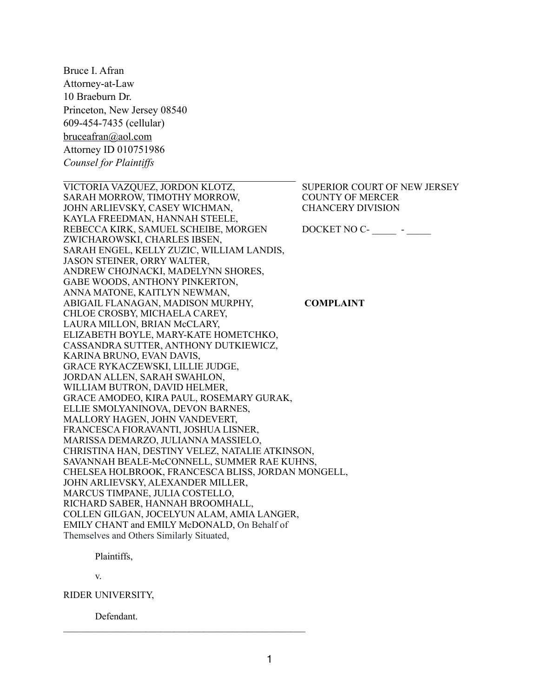Bruce I. Afran Attorney-at-Law 10 Braeburn Dr. Princeton, New Jersey 08540 609-454-7435 (cellular) [bruceafran@aol.com](mailto:bruceafran@aol.com) Attorney ID 010751986 *Counsel for Plaintiffs*

 $\mathcal{L}_\text{max}$  , and the contract of the contract of the contract of the contract of the contract of the contract of the contract of the contract of the contract of the contract of the contract of the contract of the contr

VICTORIA VAZQUEZ, JORDON KLOTZ, SUPERIOR COURT OF NEW JERSEY SARAH MORROW, TIMOTHY MORROW, COUNTY OF MERCER JOHN ARLIEVSKY, CASEY WICHMAN, CHANCERY DIVISION KAYLA FREEDMAN, HANNAH STEELE, REBECCA KIRK, SAMUEL SCHEIBE, MORGEN DOCKET NO C- \_\_\_\_\_\_\_ - \_\_\_\_\_ ZWICHAROWSKI, CHARLES IBSEN, SARAH ENGEL, KELLY ZUZIC, WILLIAM LANDIS, JASON STEINER, ORRY WALTER, ANDREW CHOJNACKI, MADELYNN SHORES, GABE WOODS, ANTHONY PINKERTON, ANNA MATONE, KAITLYN NEWMAN, ABIGAIL FLANAGAN, MADISON MURPHY, **COMPLAINT** CHLOE CROSBY, MICHAELA CAREY, LAURA MILLON, BRIAN McCLARY, ELIZABETH BOYLE, MARY-KATE HOMETCHKO, CASSANDRA SUTTER, ANTHONY DUTKIEWICZ, KARINA BRUNO, EVAN DAVIS, GRACE RYKACZEWSKI, LILLIE JUDGE, JORDAN ALLEN, SARAH SWAHLON, WILLIAM BUTRON, DAVID HELMER, GRACE AMODEO, KIRA PAUL, ROSEMARY GURAK, ELLIE SMOLYANINOVA, DEVON BARNES, MALLORY HAGEN, JOHN VANDEVERT, FRANCESCA FIORAVANTI, JOSHUA LISNER, MARISSA DEMARZO, JULIANNA MASSIELO, CHRISTINA HAN, DESTINY VELEZ, NATALIE ATKINSON, SAVANNAH BEALE-McCONNELL, SUMMER RAE KUHNS, CHELSEA HOLBROOK, FRANCESCA BLISS, JORDAN MONGELL, JOHN ARLIEVSKY, ALEXANDER MILLER, MARCUS TIMPANE, JULIA COSTELLO, RICHARD SABER, HANNAH BROOMHALL, COLLEN GILGAN, JOCELYUN ALAM, AMIA LANGER, EMILY CHANT and EMILY McDONALD, On Behalf of Themselves and Others Similarly Situated,

Plaintiffs,

v.

RIDER UNIVERSITY,

Defendant.

 $\mathcal{L}_\text{max}$  , and the set of the set of the set of the set of the set of the set of the set of the set of the set of the set of the set of the set of the set of the set of the set of the set of the set of the set of the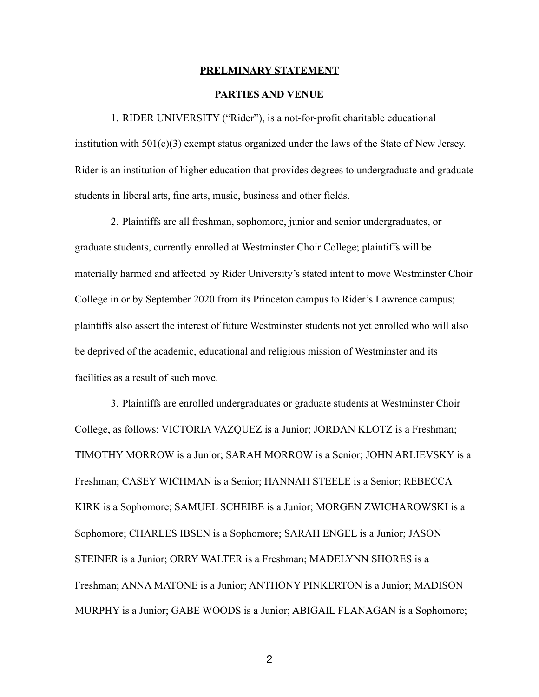#### **PRELMINARY STATEMENT**

### **PARTIES AND VENUE**

1. RIDER UNIVERSITY ("Rider"), is a not-for-profit charitable educational institution with  $501(c)(3)$  exempt status organized under the laws of the State of New Jersey. Rider is an institution of higher education that provides degrees to undergraduate and graduate students in liberal arts, fine arts, music, business and other fields.

2. Plaintiffs are all freshman, sophomore, junior and senior undergraduates, or graduate students, currently enrolled at Westminster Choir College; plaintiffs will be materially harmed and affected by Rider University's stated intent to move Westminster Choir College in or by September 2020 from its Princeton campus to Rider's Lawrence campus; plaintiffs also assert the interest of future Westminster students not yet enrolled who will also be deprived of the academic, educational and religious mission of Westminster and its facilities as a result of such move.

3. Plaintiffs are enrolled undergraduates or graduate students at Westminster Choir College, as follows: VICTORIA VAZQUEZ is a Junior; JORDAN KLOTZ is a Freshman; TIMOTHY MORROW is a Junior; SARAH MORROW is a Senior; JOHN ARLIEVSKY is a Freshman; CASEY WICHMAN is a Senior; HANNAH STEELE is a Senior; REBECCA KIRK is a Sophomore; SAMUEL SCHEIBE is a Junior; MORGEN ZWICHAROWSKI is a Sophomore; CHARLES IBSEN is a Sophomore; SARAH ENGEL is a Junior; JASON STEINER is a Junior; ORRY WALTER is a Freshman; MADELYNN SHORES is a Freshman; ANNA MATONE is a Junior; ANTHONY PINKERTON is a Junior; MADISON MURPHY is a Junior; GABE WOODS is a Junior; ABIGAIL FLANAGAN is a Sophomore;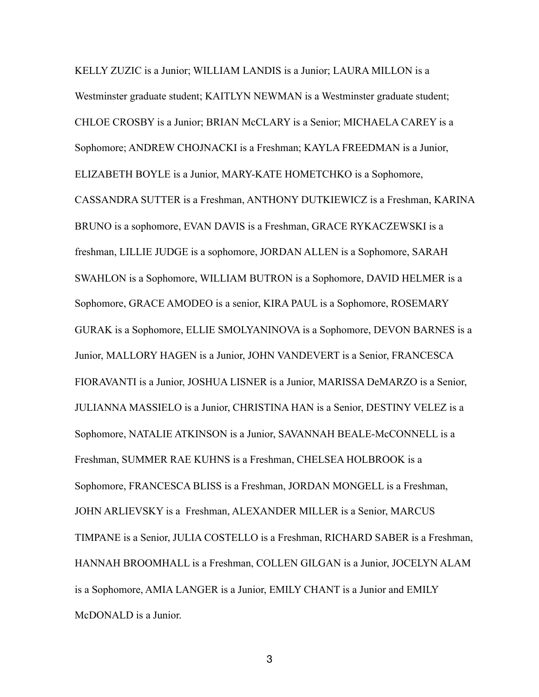KELLY ZUZIC is a Junior; WILLIAM LANDIS is a Junior; LAURA MILLON is a Westminster graduate student; KAITLYN NEWMAN is a Westminster graduate student; CHLOE CROSBY is a Junior; BRIAN McCLARY is a Senior; MICHAELA CAREY is a Sophomore; ANDREW CHOJNACKI is a Freshman; KAYLA FREEDMAN is a Junior, ELIZABETH BOYLE is a Junior, MARY-KATE HOMETCHKO is a Sophomore, CASSANDRA SUTTER is a Freshman, ANTHONY DUTKIEWICZ is a Freshman, KARINA BRUNO is a sophomore, EVAN DAVIS is a Freshman, GRACE RYKACZEWSKI is a freshman, LILLIE JUDGE is a sophomore, JORDAN ALLEN is a Sophomore, SARAH SWAHLON is a Sophomore, WILLIAM BUTRON is a Sophomore, DAVID HELMER is a Sophomore, GRACE AMODEO is a senior, KIRA PAUL is a Sophomore, ROSEMARY GURAK is a Sophomore, ELLIE SMOLYANINOVA is a Sophomore, DEVON BARNES is a Junior, MALLORY HAGEN is a Junior, JOHN VANDEVERT is a Senior, FRANCESCA FIORAVANTI is a Junior, JOSHUA LISNER is a Junior, MARISSA DeMARZO is a Senior, JULIANNA MASSIELO is a Junior, CHRISTINA HAN is a Senior, DESTINY VELEZ is a Sophomore, NATALIE ATKINSON is a Junior, SAVANNAH BEALE-McCONNELL is a Freshman, SUMMER RAE KUHNS is a Freshman, CHELSEA HOLBROOK is a Sophomore, FRANCESCA BLISS is a Freshman, JORDAN MONGELL is a Freshman, JOHN ARLIEVSKY is a Freshman, ALEXANDER MILLER is a Senior, MARCUS TIMPANE is a Senior, JULIA COSTELLO is a Freshman, RICHARD SABER is a Freshman, HANNAH BROOMHALL is a Freshman, COLLEN GILGAN is a Junior, JOCELYN ALAM is a Sophomore, AMIA LANGER is a Junior, EMILY CHANT is a Junior and EMILY McDONALD is a Junior.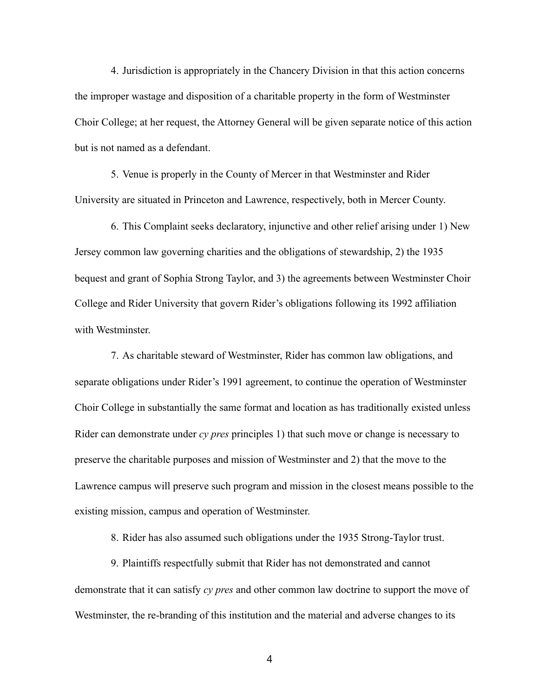4. Jurisdiction is appropriately in the Chancery Division in that this action concerns the improper wastage and disposition of a charitable property in the form of Westminster Choir College; at her request, the Attorney General will be given separate notice of this action but is not named as a defendant.

5. Venue is properly in the County of Mercer in that Westminster and Rider University are situated in Princeton and Lawrence, respectively, both in Mercer County.

6. This Complaint seeks declaratory, injunctive and other relief arising under 1) New Jersey common law governing charities and the obligations of stewardship, 2) the 1935 bequest and grant of Sophia Strong Taylor, and 3) the agreements between Westminster Choir College and Rider University that govern Rider's obligations following its 1992 affiliation with Westminster.

7. As charitable steward of Westminster, Rider has common law obligations, and separate obligations under Rider's 1991 agreement, to continue the operation of Westminster Choir College in substantially the same format and location as has traditionally existed unless Rider can demonstrate under *cy pres* principles 1) that such move or change is necessary to preserve the charitable purposes and mission of Westminster and 2) that the move to the Lawrence campus will preserve such program and mission in the closest means possible to the existing mission, campus and operation of Westminster.

8. Rider has also assumed such obligations under the 1935 Strong-Taylor trust.

9. Plaintiffs respectfully submit that Rider has not demonstrated and cannot demonstrate that it can satisfy *cy pres* and other common law doctrine to support the move of Westminster, the re-branding of this institution and the material and adverse changes to its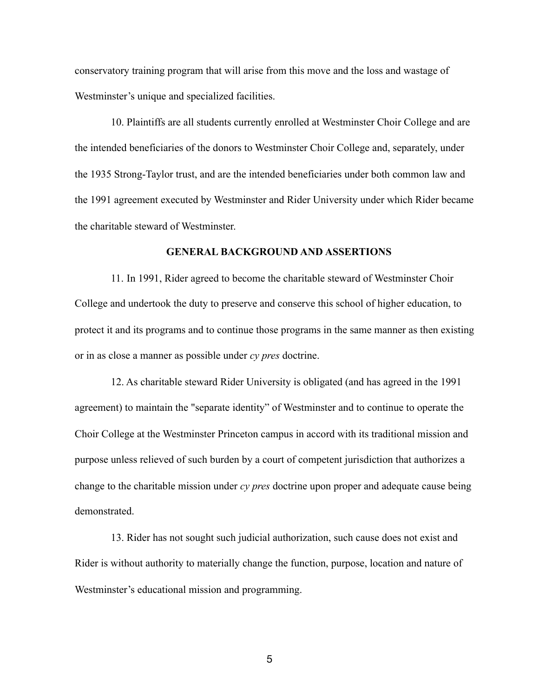conservatory training program that will arise from this move and the loss and wastage of Westminster's unique and specialized facilities.

10. Plaintiffs are all students currently enrolled at Westminster Choir College and are the intended beneficiaries of the donors to Westminster Choir College and, separately, under the 1935 Strong-Taylor trust, and are the intended beneficiaries under both common law and the 1991 agreement executed by Westminster and Rider University under which Rider became the charitable steward of Westminster.

#### **GENERAL BACKGROUND AND ASSERTIONS**

11. In 1991, Rider agreed to become the charitable steward of Westminster Choir College and undertook the duty to preserve and conserve this school of higher education, to protect it and its programs and to continue those programs in the same manner as then existing or in as close a manner as possible under *cy pres* doctrine.

12. As charitable steward Rider University is obligated (and has agreed in the 1991 agreement) to maintain the "separate identity" of Westminster and to continue to operate the Choir College at the Westminster Princeton campus in accord with its traditional mission and purpose unless relieved of such burden by a court of competent jurisdiction that authorizes a change to the charitable mission under *cy pres* doctrine upon proper and adequate cause being demonstrated.

13. Rider has not sought such judicial authorization, such cause does not exist and Rider is without authority to materially change the function, purpose, location and nature of Westminster's educational mission and programming.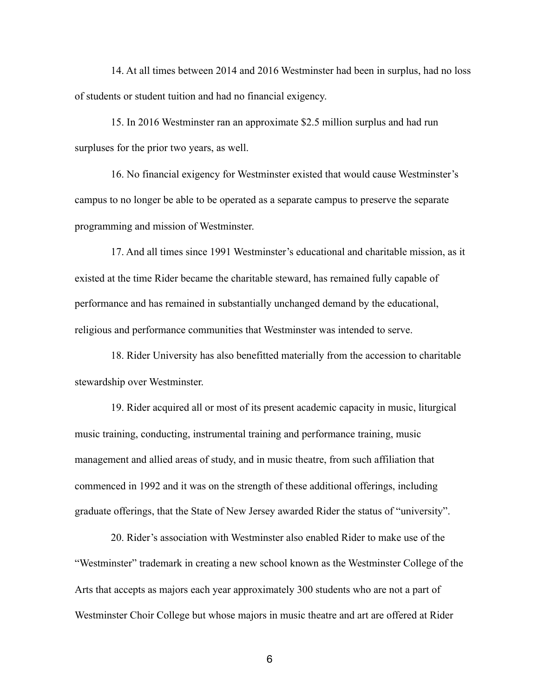14. At all times between 2014 and 2016 Westminster had been in surplus, had no loss of students or student tuition and had no financial exigency.

15. In 2016 Westminster ran an approximate \$2.5 million surplus and had run surpluses for the prior two years, as well.

16. No financial exigency for Westminster existed that would cause Westminster's campus to no longer be able to be operated as a separate campus to preserve the separate programming and mission of Westminster.

17. And all times since 1991 Westminster's educational and charitable mission, as it existed at the time Rider became the charitable steward, has remained fully capable of performance and has remained in substantially unchanged demand by the educational, religious and performance communities that Westminster was intended to serve.

18. Rider University has also benefitted materially from the accession to charitable stewardship over Westminster.

19. Rider acquired all or most of its present academic capacity in music, liturgical music training, conducting, instrumental training and performance training, music management and allied areas of study, and in music theatre, from such affiliation that commenced in 1992 and it was on the strength of these additional offerings, including graduate offerings, that the State of New Jersey awarded Rider the status of "university".

20. Rider's association with Westminster also enabled Rider to make use of the "Westminster" trademark in creating a new school known as the Westminster College of the Arts that accepts as majors each year approximately 300 students who are not a part of Westminster Choir College but whose majors in music theatre and art are offered at Rider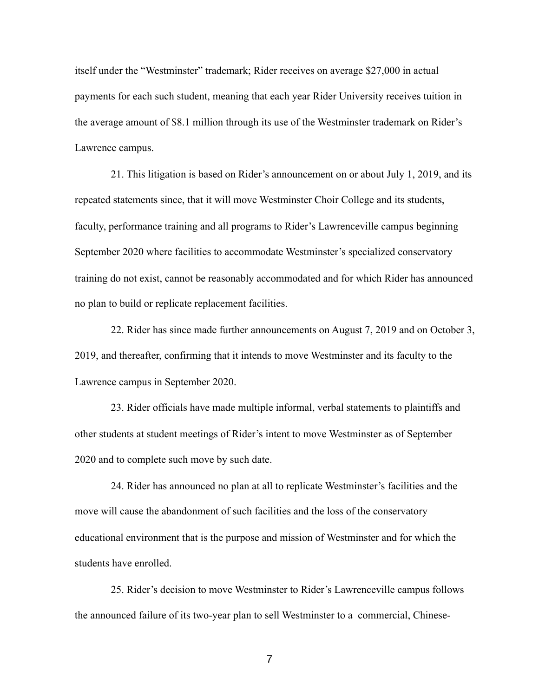itself under the "Westminster" trademark; Rider receives on average \$27,000 in actual payments for each such student, meaning that each year Rider University receives tuition in the average amount of \$8.1 million through its use of the Westminster trademark on Rider's Lawrence campus.

21. This litigation is based on Rider's announcement on or about July 1, 2019, and its repeated statements since, that it will move Westminster Choir College and its students, faculty, performance training and all programs to Rider's Lawrenceville campus beginning September 2020 where facilities to accommodate Westminster's specialized conservatory training do not exist, cannot be reasonably accommodated and for which Rider has announced no plan to build or replicate replacement facilities.

22. Rider has since made further announcements on August 7, 2019 and on October 3, 2019, and thereafter, confirming that it intends to move Westminster and its faculty to the Lawrence campus in September 2020.

23. Rider officials have made multiple informal, verbal statements to plaintiffs and other students at student meetings of Rider's intent to move Westminster as of September 2020 and to complete such move by such date.

24. Rider has announced no plan at all to replicate Westminster's facilities and the move will cause the abandonment of such facilities and the loss of the conservatory educational environment that is the purpose and mission of Westminster and for which the students have enrolled.

25. Rider's decision to move Westminster to Rider's Lawrenceville campus follows the announced failure of its two-year plan to sell Westminster to a commercial, Chinese-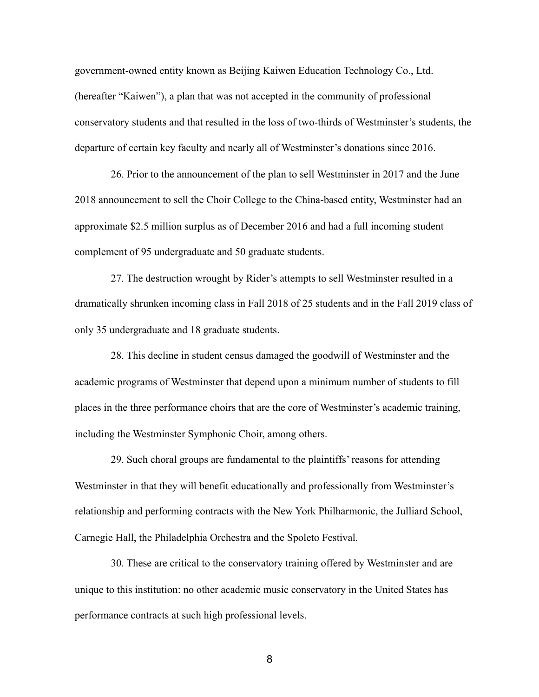government-owned entity known as Beijing Kaiwen Education Technology Co., Ltd. (hereafter "Kaiwen"), a plan that was not accepted in the community of professional conservatory students and that resulted in the loss of two-thirds of Westminster's students, the departure of certain key faculty and nearly all of Westminster's donations since 2016.

26. Prior to the announcement of the plan to sell Westminster in 2017 and the June 2018 announcement to sell the Choir College to the China-based entity, Westminster had an approximate \$2.5 million surplus as of December 2016 and had a full incoming student complement of 95 undergraduate and 50 graduate students.

27. The destruction wrought by Rider's attempts to sell Westminster resulted in a dramatically shrunken incoming class in Fall 2018 of 25 students and in the Fall 2019 class of only 35 undergraduate and 18 graduate students.

28. This decline in student census damaged the goodwill of Westminster and the academic programs of Westminster that depend upon a minimum number of students to fill places in the three performance choirs that are the core of Westminster's academic training, including the Westminster Symphonic Choir, among others.

29. Such choral groups are fundamental to the plaintiffs' reasons for attending Westminster in that they will benefit educationally and professionally from Westminster's relationship and performing contracts with the New York Philharmonic, the Julliard School, Carnegie Hall, the Philadelphia Orchestra and the Spoleto Festival.

30. These are critical to the conservatory training offered by Westminster and are unique to this institution: no other academic music conservatory in the United States has performance contracts at such high professional levels.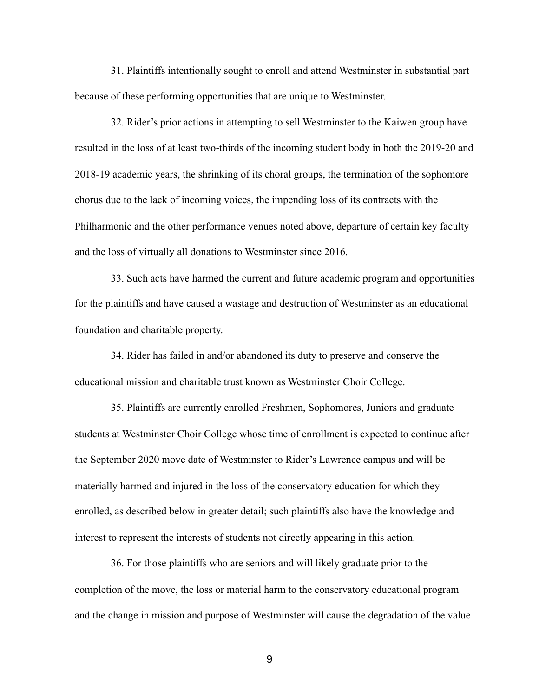31. Plaintiffs intentionally sought to enroll and attend Westminster in substantial part because of these performing opportunities that are unique to Westminster.

32. Rider's prior actions in attempting to sell Westminster to the Kaiwen group have resulted in the loss of at least two-thirds of the incoming student body in both the 2019-20 and 2018-19 academic years, the shrinking of its choral groups, the termination of the sophomore chorus due to the lack of incoming voices, the impending loss of its contracts with the Philharmonic and the other performance venues noted above, departure of certain key faculty and the loss of virtually all donations to Westminster since 2016.

33. Such acts have harmed the current and future academic program and opportunities for the plaintiffs and have caused a wastage and destruction of Westminster as an educational foundation and charitable property.

34. Rider has failed in and/or abandoned its duty to preserve and conserve the educational mission and charitable trust known as Westminster Choir College.

35. Plaintiffs are currently enrolled Freshmen, Sophomores, Juniors and graduate students at Westminster Choir College whose time of enrollment is expected to continue after the September 2020 move date of Westminster to Rider's Lawrence campus and will be materially harmed and injured in the loss of the conservatory education for which they enrolled, as described below in greater detail; such plaintiffs also have the knowledge and interest to represent the interests of students not directly appearing in this action.

36. For those plaintiffs who are seniors and will likely graduate prior to the completion of the move, the loss or material harm to the conservatory educational program and the change in mission and purpose of Westminster will cause the degradation of the value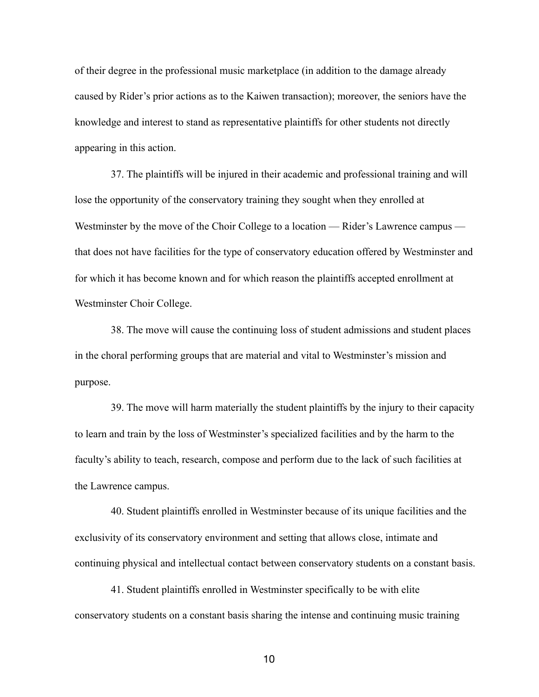of their degree in the professional music marketplace (in addition to the damage already caused by Rider's prior actions as to the Kaiwen transaction); moreover, the seniors have the knowledge and interest to stand as representative plaintiffs for other students not directly appearing in this action.

37. The plaintiffs will be injured in their academic and professional training and will lose the opportunity of the conservatory training they sought when they enrolled at Westminster by the move of the Choir College to a location — Rider's Lawrence campus that does not have facilities for the type of conservatory education offered by Westminster and for which it has become known and for which reason the plaintiffs accepted enrollment at Westminster Choir College.

38. The move will cause the continuing loss of student admissions and student places in the choral performing groups that are material and vital to Westminster's mission and purpose.

39. The move will harm materially the student plaintiffs by the injury to their capacity to learn and train by the loss of Westminster's specialized facilities and by the harm to the faculty's ability to teach, research, compose and perform due to the lack of such facilities at the Lawrence campus.

40. Student plaintiffs enrolled in Westminster because of its unique facilities and the exclusivity of its conservatory environment and setting that allows close, intimate and continuing physical and intellectual contact between conservatory students on a constant basis.

41. Student plaintiffs enrolled in Westminster specifically to be with elite conservatory students on a constant basis sharing the intense and continuing music training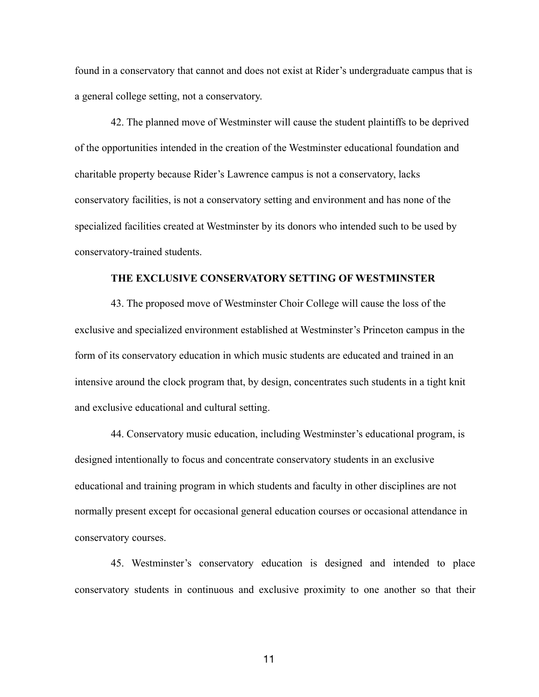found in a conservatory that cannot and does not exist at Rider's undergraduate campus that is a general college setting, not a conservatory.

42. The planned move of Westminster will cause the student plaintiffs to be deprived of the opportunities intended in the creation of the Westminster educational foundation and charitable property because Rider's Lawrence campus is not a conservatory, lacks conservatory facilities, is not a conservatory setting and environment and has none of the specialized facilities created at Westminster by its donors who intended such to be used by conservatory-trained students.

### **THE EXCLUSIVE CONSERVATORY SETTING OF WESTMINSTER**

43. The proposed move of Westminster Choir College will cause the loss of the exclusive and specialized environment established at Westminster's Princeton campus in the form of its conservatory education in which music students are educated and trained in an intensive around the clock program that, by design, concentrates such students in a tight knit and exclusive educational and cultural setting.

44. Conservatory music education, including Westminster's educational program, is designed intentionally to focus and concentrate conservatory students in an exclusive educational and training program in which students and faculty in other disciplines are not normally present except for occasional general education courses or occasional attendance in conservatory courses.

45. Westminster's conservatory education is designed and intended to place conservatory students in continuous and exclusive proximity to one another so that their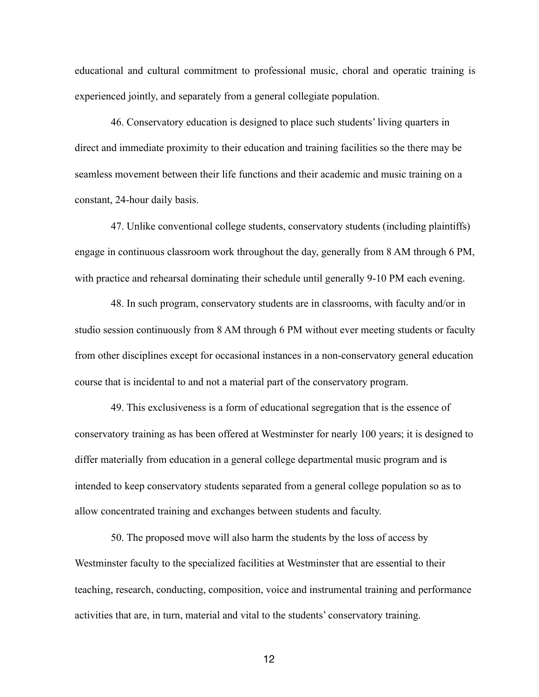educational and cultural commitment to professional music, choral and operatic training is experienced jointly, and separately from a general collegiate population.

46. Conservatory education is designed to place such students' living quarters in direct and immediate proximity to their education and training facilities so the there may be seamless movement between their life functions and their academic and music training on a constant, 24-hour daily basis.

47. Unlike conventional college students, conservatory students (including plaintiffs) engage in continuous classroom work throughout the day, generally from 8 AM through 6 PM, with practice and rehearsal dominating their schedule until generally 9-10 PM each evening.

48. In such program, conservatory students are in classrooms, with faculty and/or in studio session continuously from 8 AM through 6 PM without ever meeting students or faculty from other disciplines except for occasional instances in a non-conservatory general education course that is incidental to and not a material part of the conservatory program.

49. This exclusiveness is a form of educational segregation that is the essence of conservatory training as has been offered at Westminster for nearly 100 years; it is designed to differ materially from education in a general college departmental music program and is intended to keep conservatory students separated from a general college population so as to allow concentrated training and exchanges between students and faculty.

50. The proposed move will also harm the students by the loss of access by Westminster faculty to the specialized facilities at Westminster that are essential to their teaching, research, conducting, composition, voice and instrumental training and performance activities that are, in turn, material and vital to the students' conservatory training.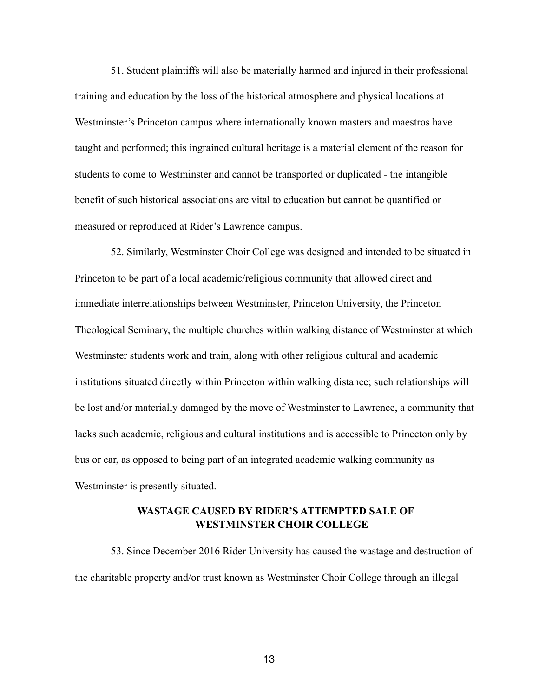51. Student plaintiffs will also be materially harmed and injured in their professional training and education by the loss of the historical atmosphere and physical locations at Westminster's Princeton campus where internationally known masters and maestros have taught and performed; this ingrained cultural heritage is a material element of the reason for students to come to Westminster and cannot be transported or duplicated - the intangible benefit of such historical associations are vital to education but cannot be quantified or measured or reproduced at Rider's Lawrence campus.

52. Similarly, Westminster Choir College was designed and intended to be situated in Princeton to be part of a local academic/religious community that allowed direct and immediate interrelationships between Westminster, Princeton University, the Princeton Theological Seminary, the multiple churches within walking distance of Westminster at which Westminster students work and train, along with other religious cultural and academic institutions situated directly within Princeton within walking distance; such relationships will be lost and/or materially damaged by the move of Westminster to Lawrence, a community that lacks such academic, religious and cultural institutions and is accessible to Princeton only by bus or car, as opposed to being part of an integrated academic walking community as Westminster is presently situated.

# **WASTAGE CAUSED BY RIDER'S ATTEMPTED SALE OF WESTMINSTER CHOIR COLLEGE**

53. Since December 2016 Rider University has caused the wastage and destruction of the charitable property and/or trust known as Westminster Choir College through an illegal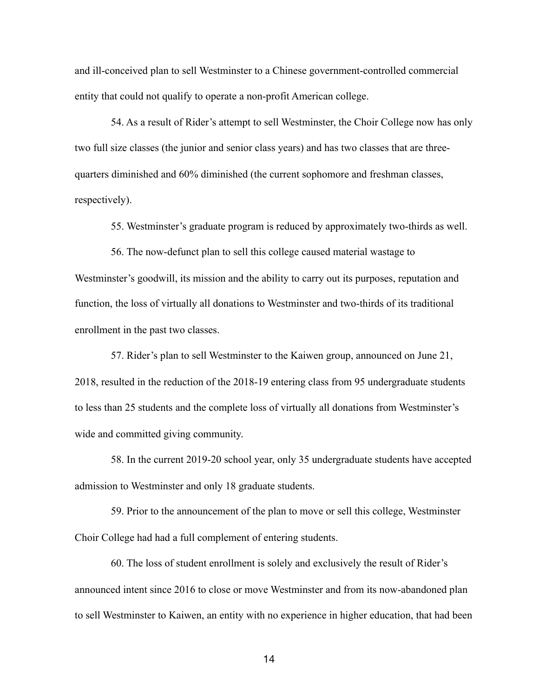and ill-conceived plan to sell Westminster to a Chinese government-controlled commercial entity that could not qualify to operate a non-profit American college.

54. As a result of Rider's attempt to sell Westminster, the Choir College now has only two full size classes (the junior and senior class years) and has two classes that are threequarters diminished and 60% diminished (the current sophomore and freshman classes, respectively).

55. Westminster's graduate program is reduced by approximately two-thirds as well.

56. The now-defunct plan to sell this college caused material wastage to Westminster's goodwill, its mission and the ability to carry out its purposes, reputation and function, the loss of virtually all donations to Westminster and two-thirds of its traditional enrollment in the past two classes.

57. Rider's plan to sell Westminster to the Kaiwen group, announced on June 21, 2018, resulted in the reduction of the 2018-19 entering class from 95 undergraduate students to less than 25 students and the complete loss of virtually all donations from Westminster's wide and committed giving community.

58. In the current 2019-20 school year, only 35 undergraduate students have accepted admission to Westminster and only 18 graduate students.

59. Prior to the announcement of the plan to move or sell this college, Westminster Choir College had had a full complement of entering students.

60. The loss of student enrollment is solely and exclusively the result of Rider's announced intent since 2016 to close or move Westminster and from its now-abandoned plan to sell Westminster to Kaiwen, an entity with no experience in higher education, that had been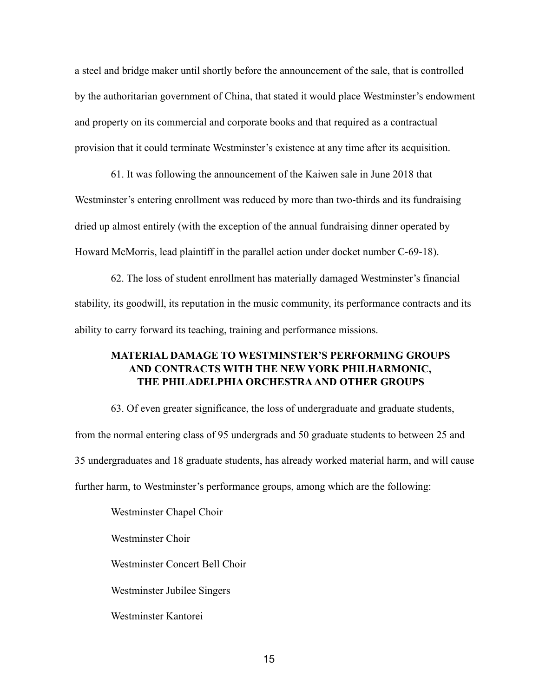a steel and bridge maker until shortly before the announcement of the sale, that is controlled by the authoritarian government of China, that stated it would place Westminster's endowment and property on its commercial and corporate books and that required as a contractual provision that it could terminate Westminster's existence at any time after its acquisition.

61. It was following the announcement of the Kaiwen sale in June 2018 that Westminster's entering enrollment was reduced by more than two-thirds and its fundraising dried up almost entirely (with the exception of the annual fundraising dinner operated by Howard McMorris, lead plaintiff in the parallel action under docket number C-69-18).

62. The loss of student enrollment has materially damaged Westminster's financial stability, its goodwill, its reputation in the music community, its performance contracts and its ability to carry forward its teaching, training and performance missions.

# **MATERIAL DAMAGE TO WESTMINSTER'S PERFORMING GROUPS AND CONTRACTS WITH THE NEW YORK PHILHARMONIC, THE PHILADELPHIA ORCHESTRA AND OTHER GROUPS**

63. Of even greater significance, the loss of undergraduate and graduate students, from the normal entering class of 95 undergrads and 50 graduate students to between 25 and 35 undergraduates and 18 graduate students, has already worked material harm, and will cause further harm, to Westminster's performance groups, among which are the following:

Westminster Chapel Choir Westminster Choir

Westminster Concert Bell Choir

Westminster Jubilee Singers

Westminster Kantorei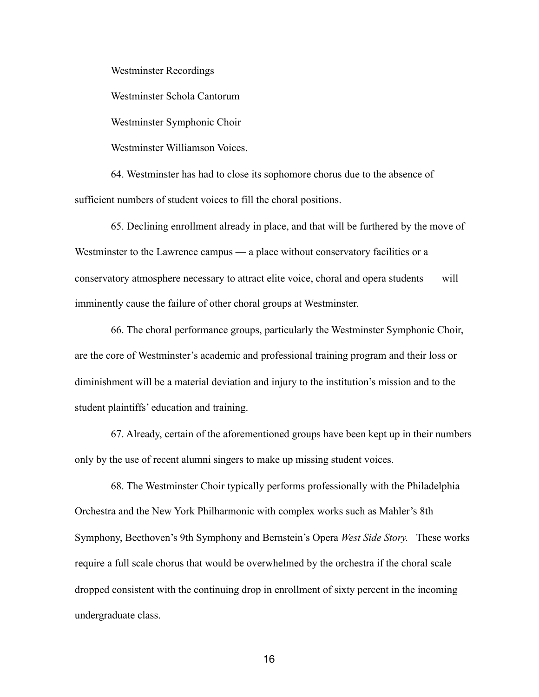Westminster Recordings

Westminster Schola Cantorum

Westminster Symphonic Choir

Westminster Williamson Voices.

64. Westminster has had to close its sophomore chorus due to the absence of sufficient numbers of student voices to fill the choral positions.

65. Declining enrollment already in place, and that will be furthered by the move of Westminster to the Lawrence campus — a place without conservatory facilities or a conservatory atmosphere necessary to attract elite voice, choral and opera students — will imminently cause the failure of other choral groups at Westminster.

66. The choral performance groups, particularly the Westminster Symphonic Choir, are the core of Westminster's academic and professional training program and their loss or diminishment will be a material deviation and injury to the institution's mission and to the student plaintiffs' education and training.

67. Already, certain of the aforementioned groups have been kept up in their numbers only by the use of recent alumni singers to make up missing student voices.

68. The Westminster Choir typically performs professionally with the Philadelphia Orchestra and the New York Philharmonic with complex works such as Mahler's 8th Symphony, Beethoven's 9th Symphony and Bernstein's Opera *West Side Story.* These works require a full scale chorus that would be overwhelmed by the orchestra if the choral scale dropped consistent with the continuing drop in enrollment of sixty percent in the incoming undergraduate class.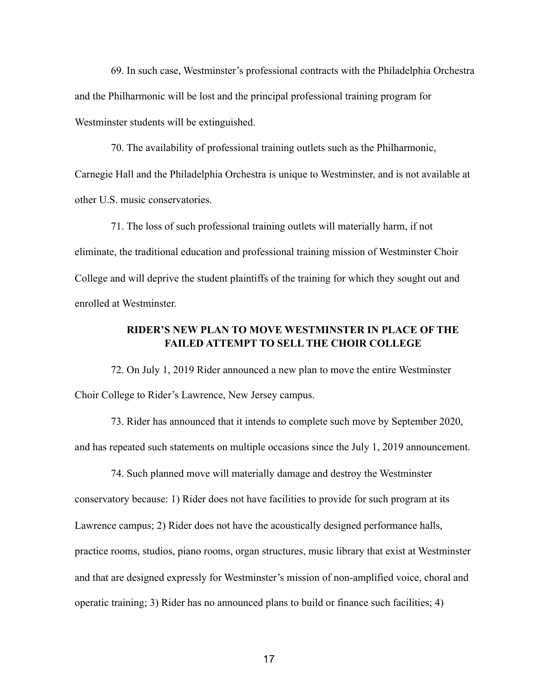69. In such case, Westminster's professional contracts with the Philadelphia Orchestra and the Philharmonic will be lost and the principal professional training program for Westminster students will be extinguished.

70. The availability of professional training outlets such as the Philharmonic, Carnegie Hall and the Philadelphia Orchestra is unique to Westminster, and is not available at other U.S. music conservatories.

71. The loss of such professional training outlets will materially harm, if not eliminate, the traditional education and professional training mission of Westminster Choir College and will deprive the student plaintiffs of the training for which they sought out and enrolled at Westminster.

# **RIDER'S NEW PLAN TO MOVE WESTMINSTER IN PLACE OF THE FAILED ATTEMPT TO SELL THE CHOIR COLLEGE**

72. On July 1, 2019 Rider announced a new plan to move the entire Westminster Choir College to Rider's Lawrence, New Jersey campus.

73. Rider has announced that it intends to complete such move by September 2020, and has repeated such statements on multiple occasions since the July 1, 2019 announcement.

74. Such planned move will materially damage and destroy the Westminster conservatory because: 1) Rider does not have facilities to provide for such program at its Lawrence campus; 2) Rider does not have the acoustically designed performance halls, practice rooms, studios, piano rooms, organ structures, music library that exist at Westminster and that are designed expressly for Westminster's mission of non-amplified voice, choral and operatic training; 3) Rider has no announced plans to build or finance such facilities; 4)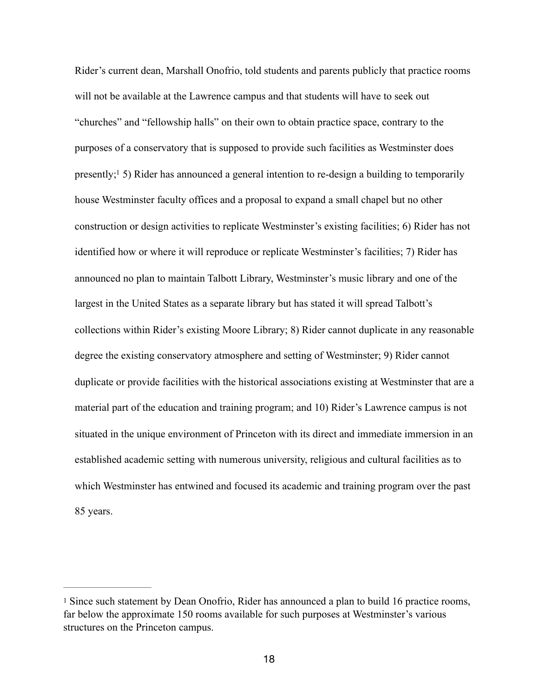<span id="page-17-1"></span>Rider's current dean, Marshall Onofrio, told students and parents publicly that practice rooms will not be available at the Lawrence campus and that students will have to seek out "churches" and "fellowship halls" on their own to obtain practice space, contrary to the purposes of a conservatory that is supposed to provide such facilities as Westminster does presently[;](#page-17-0)<sup>[1](#page-17-0)</sup> 5) Rider has announced a general intention to re-design a building to temporarily house Westminster faculty offices and a proposal to expand a small chapel but no other construction or design activities to replicate Westminster's existing facilities; 6) Rider has not identified how or where it will reproduce or replicate Westminster's facilities; 7) Rider has announced no plan to maintain Talbott Library, Westminster's music library and one of the largest in the United States as a separate library but has stated it will spread Talbott's collections within Rider's existing Moore Library; 8) Rider cannot duplicate in any reasonable degree the existing conservatory atmosphere and setting of Westminster; 9) Rider cannot duplicate or provide facilities with the historical associations existing at Westminster that are a material part of the education and training program; and 10) Rider's Lawrence campus is not situated in the unique environment of Princeton with its direct and immediate immersion in an established academic setting with numerous university, religious and cultural facilities as to which Westminster has entwined and focused its academic and training program over the past 85 years.

<span id="page-17-0"></span>[<sup>1</sup>](#page-17-1) Since such statement by Dean Onofrio, Rider has announced a plan to build 16 practice rooms, far below the approximate 150 rooms available for such purposes at Westminster's various structures on the Princeton campus.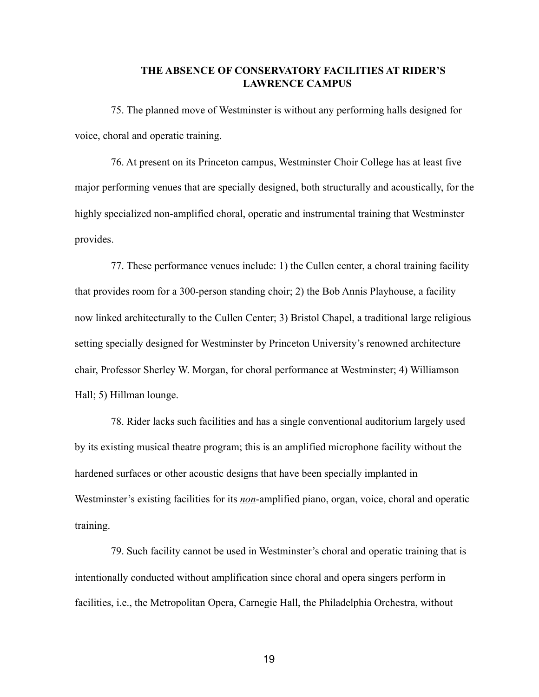## **THE ABSENCE OF CONSERVATORY FACILITIES AT RIDER'S LAWRENCE CAMPUS**

75. The planned move of Westminster is without any performing halls designed for voice, choral and operatic training.

76. At present on its Princeton campus, Westminster Choir College has at least five major performing venues that are specially designed, both structurally and acoustically, for the highly specialized non-amplified choral, operatic and instrumental training that Westminster provides.

77. These performance venues include: 1) the Cullen center, a choral training facility that provides room for a 300-person standing choir; 2) the Bob Annis Playhouse, a facility now linked architecturally to the Cullen Center; 3) Bristol Chapel, a traditional large religious setting specially designed for Westminster by Princeton University's renowned architecture chair, Professor Sherley W. Morgan, for choral performance at Westminster; 4) Williamson Hall; 5) Hillman lounge.

78. Rider lacks such facilities and has a single conventional auditorium largely used by its existing musical theatre program; this is an amplified microphone facility without the hardened surfaces or other acoustic designs that have been specially implanted in Westminster's existing facilities for its *non*-amplified piano, organ, voice, choral and operatic training.

79. Such facility cannot be used in Westminster's choral and operatic training that is intentionally conducted without amplification since choral and opera singers perform in facilities, i.e., the Metropolitan Opera, Carnegie Hall, the Philadelphia Orchestra, without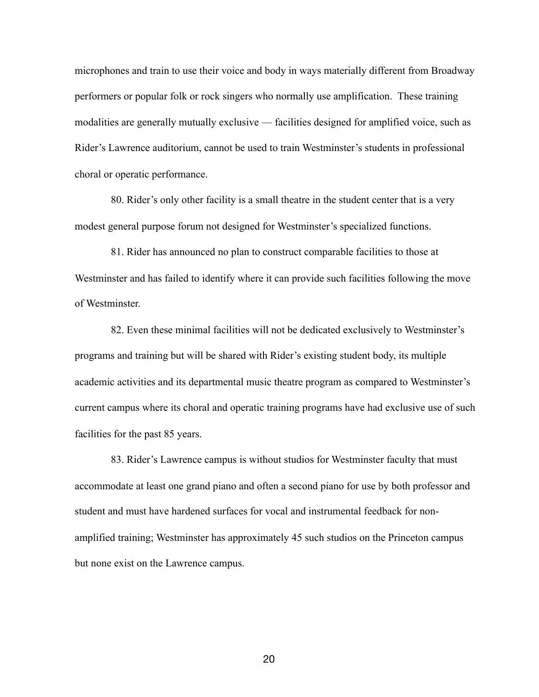microphones and train to use their voice and body in ways materially different from Broadway performers or popular folk or rock singers who normally use amplification. These training modalities are generally mutually exclusive — facilities designed for amplified voice, such as Rider's Lawrence auditorium, cannot be used to train Westminster's students in professional choral or operatic performance.

80. Rider's only other facility is a small theatre in the student center that is a very modest general purpose forum not designed for Westminster's specialized functions.

81. Rider has announced no plan to construct comparable facilities to those at Westminster and has failed to identify where it can provide such facilities following the move of Westminster.

82. Even these minimal facilities will not be dedicated exclusively to Westminster's programs and training but will be shared with Rider's existing student body, its multiple academic activities and its departmental music theatre program as compared to Westminster's current campus where its choral and operatic training programs have had exclusive use of such facilities for the past 85 years.

83. Rider's Lawrence campus is without studios for Westminster faculty that must accommodate at least one grand piano and often a second piano for use by both professor and student and must have hardened surfaces for vocal and instrumental feedback for nonamplified training; Westminster has approximately 45 such studios on the Princeton campus but none exist on the Lawrence campus.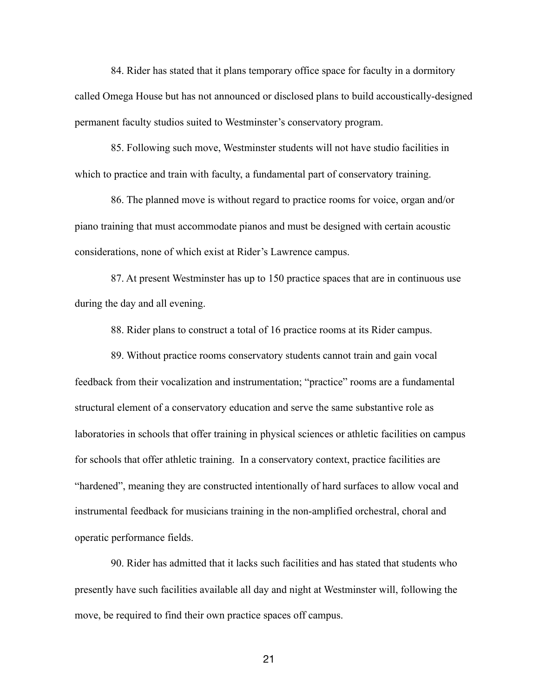84. Rider has stated that it plans temporary office space for faculty in a dormitory called Omega House but has not announced or disclosed plans to build accoustically-designed permanent faculty studios suited to Westminster's conservatory program.

85. Following such move, Westminster students will not have studio facilities in which to practice and train with faculty, a fundamental part of conservatory training.

86. The planned move is without regard to practice rooms for voice, organ and/or piano training that must accommodate pianos and must be designed with certain acoustic considerations, none of which exist at Rider's Lawrence campus.

87. At present Westminster has up to 150 practice spaces that are in continuous use during the day and all evening.

88. Rider plans to construct a total of 16 practice rooms at its Rider campus.

89. Without practice rooms conservatory students cannot train and gain vocal feedback from their vocalization and instrumentation; "practice" rooms are a fundamental structural element of a conservatory education and serve the same substantive role as laboratories in schools that offer training in physical sciences or athletic facilities on campus for schools that offer athletic training. In a conservatory context, practice facilities are "hardened", meaning they are constructed intentionally of hard surfaces to allow vocal and instrumental feedback for musicians training in the non-amplified orchestral, choral and operatic performance fields.

90. Rider has admitted that it lacks such facilities and has stated that students who presently have such facilities available all day and night at Westminster will, following the move, be required to find their own practice spaces off campus.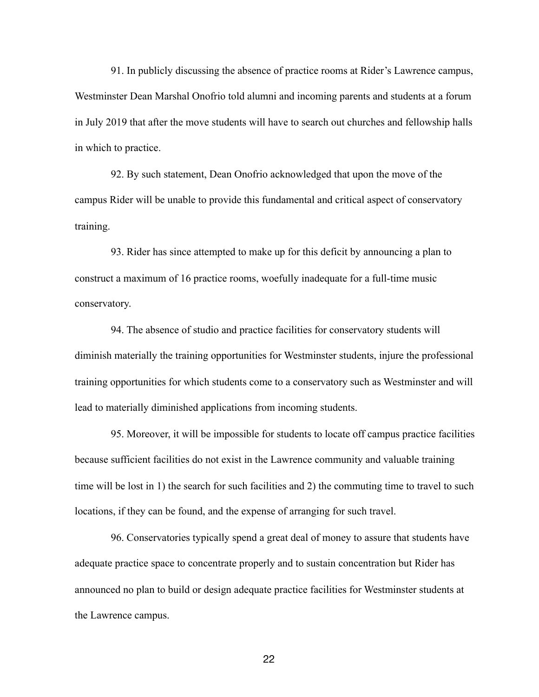91. In publicly discussing the absence of practice rooms at Rider's Lawrence campus, Westminster Dean Marshal Onofrio told alumni and incoming parents and students at a forum in July 2019 that after the move students will have to search out churches and fellowship halls in which to practice.

92. By such statement, Dean Onofrio acknowledged that upon the move of the campus Rider will be unable to provide this fundamental and critical aspect of conservatory training.

93. Rider has since attempted to make up for this deficit by announcing a plan to construct a maximum of 16 practice rooms, woefully inadequate for a full-time music conservatory.

94. The absence of studio and practice facilities for conservatory students will diminish materially the training opportunities for Westminster students, injure the professional training opportunities for which students come to a conservatory such as Westminster and will lead to materially diminished applications from incoming students.

95. Moreover, it will be impossible for students to locate off campus practice facilities because sufficient facilities do not exist in the Lawrence community and valuable training time will be lost in 1) the search for such facilities and 2) the commuting time to travel to such locations, if they can be found, and the expense of arranging for such travel.

96. Conservatories typically spend a great deal of money to assure that students have adequate practice space to concentrate properly and to sustain concentration but Rider has announced no plan to build or design adequate practice facilities for Westminster students at the Lawrence campus.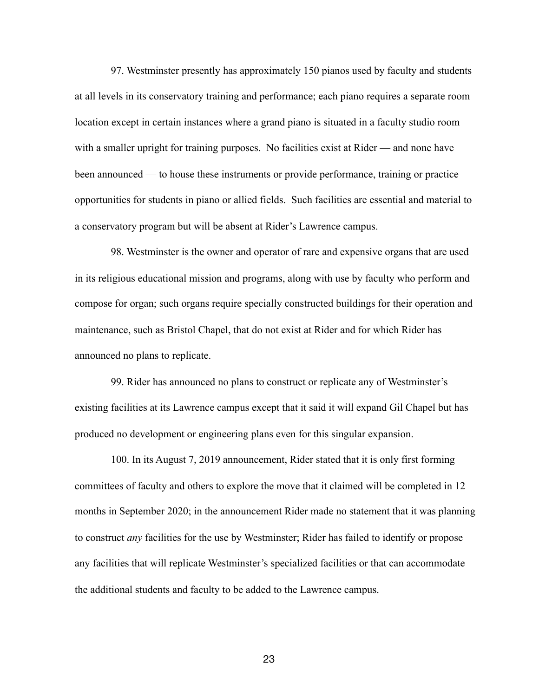97. Westminster presently has approximately 150 pianos used by faculty and students at all levels in its conservatory training and performance; each piano requires a separate room location except in certain instances where a grand piano is situated in a faculty studio room with a smaller upright for training purposes. No facilities exist at Rider — and none have been announced — to house these instruments or provide performance, training or practice opportunities for students in piano or allied fields. Such facilities are essential and material to a conservatory program but will be absent at Rider's Lawrence campus.

98. Westminster is the owner and operator of rare and expensive organs that are used in its religious educational mission and programs, along with use by faculty who perform and compose for organ; such organs require specially constructed buildings for their operation and maintenance, such as Bristol Chapel, that do not exist at Rider and for which Rider has announced no plans to replicate.

99. Rider has announced no plans to construct or replicate any of Westminster's existing facilities at its Lawrence campus except that it said it will expand Gil Chapel but has produced no development or engineering plans even for this singular expansion.

100. In its August 7, 2019 announcement, Rider stated that it is only first forming committees of faculty and others to explore the move that it claimed will be completed in 12 months in September 2020; in the announcement Rider made no statement that it was planning to construct *any* facilities for the use by Westminster; Rider has failed to identify or propose any facilities that will replicate Westminster's specialized facilities or that can accommodate the additional students and faculty to be added to the Lawrence campus.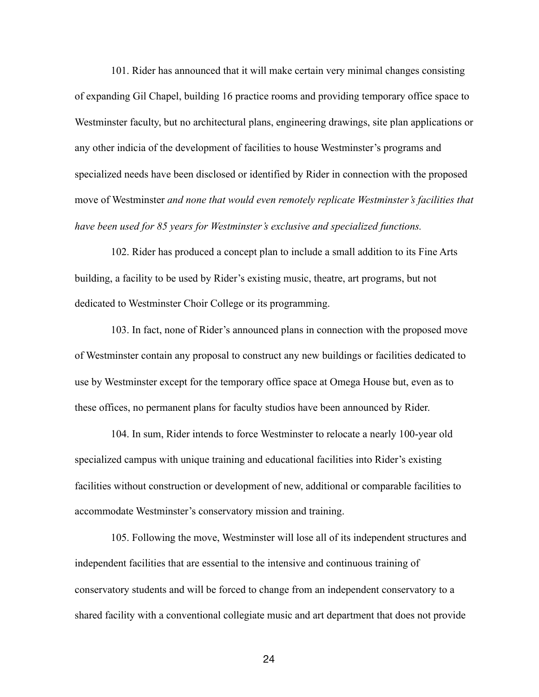101. Rider has announced that it will make certain very minimal changes consisting of expanding Gil Chapel, building 16 practice rooms and providing temporary office space to Westminster faculty, but no architectural plans, engineering drawings, site plan applications or any other indicia of the development of facilities to house Westminster's programs and specialized needs have been disclosed or identified by Rider in connection with the proposed move of Westminster *and none that would even remotely replicate Westminster's facilities that have been used for 85 years for Westminster's exclusive and specialized functions.*

102. Rider has produced a concept plan to include a small addition to its Fine Arts building, a facility to be used by Rider's existing music, theatre, art programs, but not dedicated to Westminster Choir College or its programming.

103. In fact, none of Rider's announced plans in connection with the proposed move of Westminster contain any proposal to construct any new buildings or facilities dedicated to use by Westminster except for the temporary office space at Omega House but, even as to these offices, no permanent plans for faculty studios have been announced by Rider.

104. In sum, Rider intends to force Westminster to relocate a nearly 100-year old specialized campus with unique training and educational facilities into Rider's existing facilities without construction or development of new, additional or comparable facilities to accommodate Westminster's conservatory mission and training.

105. Following the move, Westminster will lose all of its independent structures and independent facilities that are essential to the intensive and continuous training of conservatory students and will be forced to change from an independent conservatory to a shared facility with a conventional collegiate music and art department that does not provide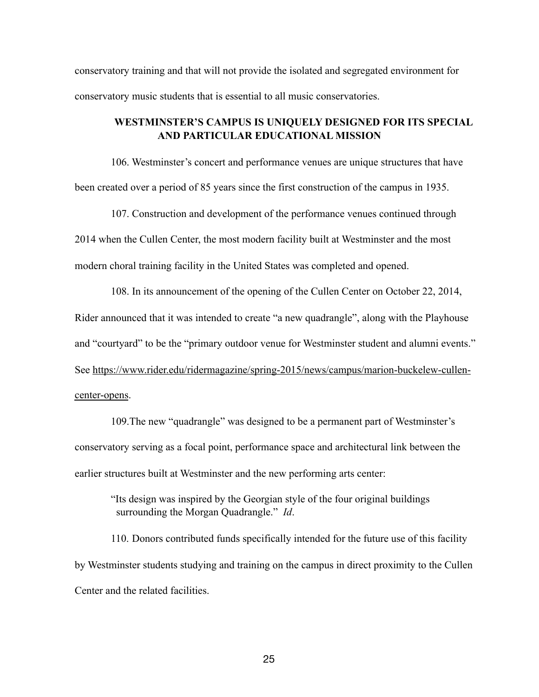conservatory training and that will not provide the isolated and segregated environment for conservatory music students that is essential to all music conservatories.

# **WESTMINSTER'S CAMPUS IS UNIQUELY DESIGNED FOR ITS SPECIAL AND PARTICULAR EDUCATIONAL MISSION**

106. Westminster's concert and performance venues are unique structures that have been created over a period of 85 years since the first construction of the campus in 1935.

107. Construction and development of the performance venues continued through 2014 when the Cullen Center, the most modern facility built at Westminster and the most modern choral training facility in the United States was completed and opened.

108. In its announcement of the opening of the Cullen Center on October 22, 2014, Rider announced that it was intended to create "a new quadrangle", along with the Playhouse and "courtyard" to be the "primary outdoor venue for Westminster student and alumni events." See https://www.rider.edu/ridermagazine/spring-2015/news/campus/marion-buckelew-cullencenter-opens.

109.The new "quadrangle" was designed to be a permanent part of Westminster's conservatory serving as a focal point, performance space and architectural link between the earlier structures built at Westminster and the new performing arts center:

"Its design was inspired by the Georgian style of the four original buildings surrounding the Morgan Quadrangle." *Id*.

110. Donors contributed funds specifically intended for the future use of this facility by Westminster students studying and training on the campus in direct proximity to the Cullen Center and the related facilities.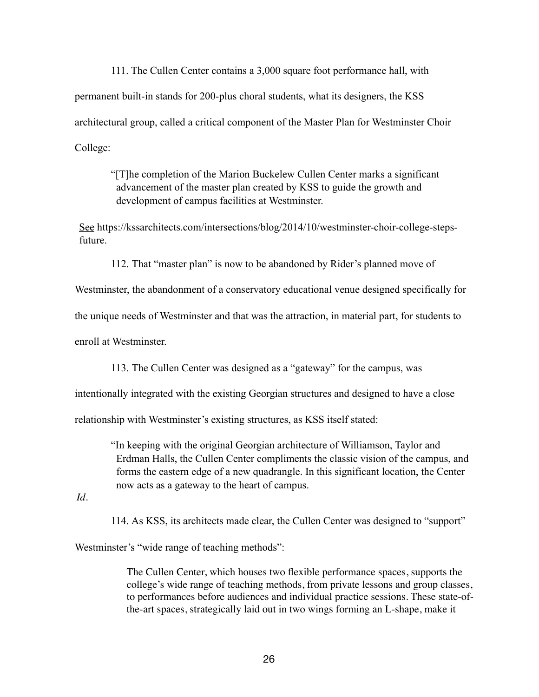111. The Cullen Center contains a 3,000 square foot performance hall, with permanent built-in stands for 200-plus choral students, what its designers, the KSS architectural group, called a critical component of the Master Plan for Westminster Choir College:

"[T]he completion of the Marion Buckelew Cullen Center marks a significant advancement of the master plan created by KSS to guide the growth and development of campus facilities at Westminster.

See https://kssarchitects.com/intersections/blog/2014/10/westminster-choir-college-stepsfuture.

112. That "master plan" is now to be abandoned by Rider's planned move of

Westminster, the abandonment of a conservatory educational venue designed specifically for

the unique needs of Westminster and that was the attraction, in material part, for students to

enroll at Westminster.

113. The Cullen Center was designed as a "gateway" for the campus, was

intentionally integrated with the existing Georgian structures and designed to have a close

relationship with Westminster's existing structures, as KSS itself stated:

"In keeping with the original Georgian architecture of Williamson, Taylor and Erdman Halls, the Cullen Center compliments the classic vision of the campus, and forms the eastern edge of a new quadrangle. In this significant location, the Center now acts as a gateway to the heart of campus.

*Id*.

114. As KSS, its architects made clear, the Cullen Center was designed to "support"

Westminster's "wide range of teaching methods":

The Cullen Center, which houses two flexible performance spaces, supports the college's wide range of teaching methods, from private lessons and group classes, to performances before audiences and individual practice sessions. These state-ofthe-art spaces, strategically laid out in two wings forming an L-shape, make it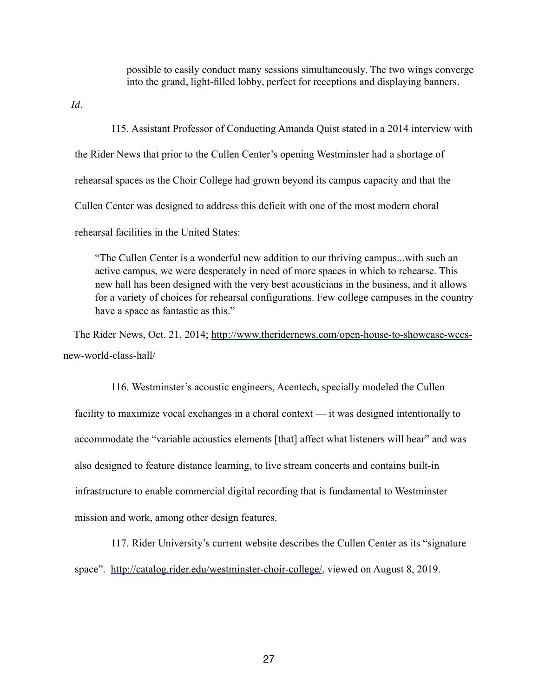possible to easily conduct many sessions simultaneously. The two wings converge into the grand, light-filled lobby, perfect for receptions and displaying banners.

 *Id.*

115. Assistant Professor of Conducting Amanda Quist stated in a 2014 interview with the Rider News that prior to the Cullen Center's opening Westminster had a shortage of rehearsal spaces as the Choir College had grown beyond its campus capacity and that the Cullen Center was designed to address this deficit with one of the most modern choral rehearsal facilities in the United States:

 "The Cullen Center is a wonderful new addition to our thriving campus...with such an active campus, we were desperately in need of more spaces in which to rehearse. This new hall has been designed with the very best acousticians in the business, and it allows for a variety of choices for rehearsal configurations. Few college campuses in the country have a space as fantastic as this."

 The Rider News, Oct. 21, 2014; [http://www.theridernews.com/open-house-to-showcase-wccs](http://www.theridernews.com/open-house-to-showcase-wccs-)new-world-class-hall/

116. Westminster's acoustic engineers, Acentech, specially modeled the Cullen facility to maximize vocal exchanges in a choral context — it was designed intentionally to accommodate the "variable acoustics elements [that] affect what listeners will hear" and was also designed to feature distance learning, to live stream concerts and contains built-in infrastructure to enable commercial digital recording that is fundamental to Westminster mission and work, among other design features.

117. Rider University's current website describes the Cullen Center as its "signature space". <http://catalog.rider.edu/westminster-choir-college/>, viewed on August 8, 2019.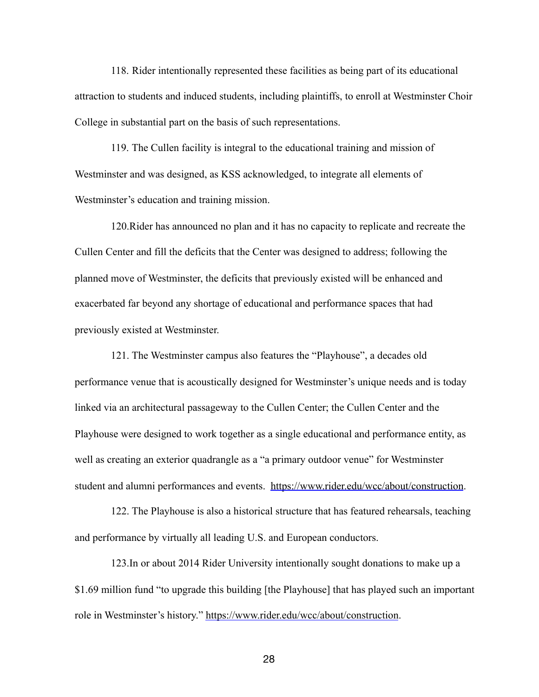118. Rider intentionally represented these facilities as being part of its educational attraction to students and induced students, including plaintiffs, to enroll at Westminster Choir College in substantial part on the basis of such representations.

119. The Cullen facility is integral to the educational training and mission of Westminster and was designed, as KSS acknowledged, to integrate all elements of Westminster's education and training mission.

120.Rider has announced no plan and it has no capacity to replicate and recreate the Cullen Center and fill the deficits that the Center was designed to address; following the planned move of Westminster, the deficits that previously existed will be enhanced and exacerbated far beyond any shortage of educational and performance spaces that had previously existed at Westminster.

121. The Westminster campus also features the "Playhouse", a decades old performance venue that is acoustically designed for Westminster's unique needs and is today linked via an architectural passageway to the Cullen Center; the Cullen Center and the Playhouse were designed to work together as a single educational and performance entity, as well as creating an exterior quadrangle as a "a primary outdoor venue" for Westminster student and alumni performances and events. <https://www.rider.edu/wcc/about/construction>.

122. The Playhouse is also a historical structure that has featured rehearsals, teaching and performance by virtually all leading U.S. and European conductors.

123.In or about 2014 Rider University intentionally sought donations to make up a \$1.69 million fund "to upgrade this building [the Playhouse] that has played such an important role in Westminster's history." [https://www.rider.edu/wcc/about/construction.](https://www.rider.edu/wcc/about/construction)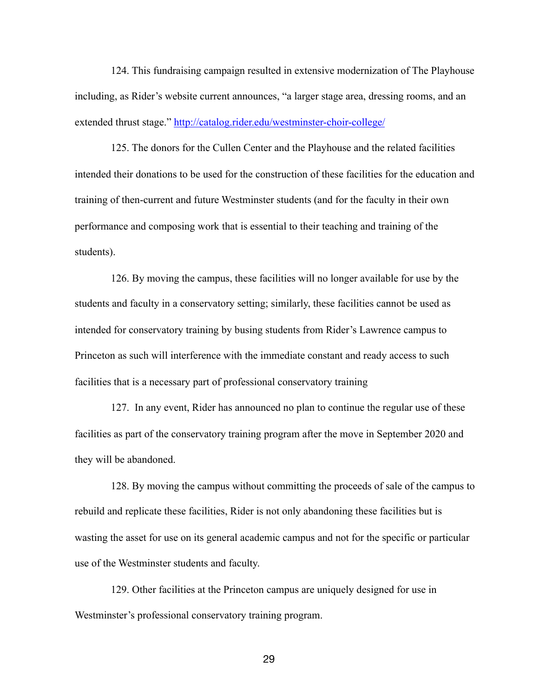124. This fundraising campaign resulted in extensive modernization of The Playhouse including, as Rider's website current announces, "a larger stage area, dressing rooms, and an extended thrust stage."<http://catalog.rider.edu/westminster-choir-college/>

125. The donors for the Cullen Center and the Playhouse and the related facilities intended their donations to be used for the construction of these facilities for the education and training of then-current and future Westminster students (and for the faculty in their own performance and composing work that is essential to their teaching and training of the students).

126. By moving the campus, these facilities will no longer available for use by the students and faculty in a conservatory setting; similarly, these facilities cannot be used as intended for conservatory training by busing students from Rider's Lawrence campus to Princeton as such will interference with the immediate constant and ready access to such facilities that is a necessary part of professional conservatory training

127. In any event, Rider has announced no plan to continue the regular use of these facilities as part of the conservatory training program after the move in September 2020 and they will be abandoned.

128. By moving the campus without committing the proceeds of sale of the campus to rebuild and replicate these facilities, Rider is not only abandoning these facilities but is wasting the asset for use on its general academic campus and not for the specific or particular use of the Westminster students and faculty.

129. Other facilities at the Princeton campus are uniquely designed for use in Westminster's professional conservatory training program.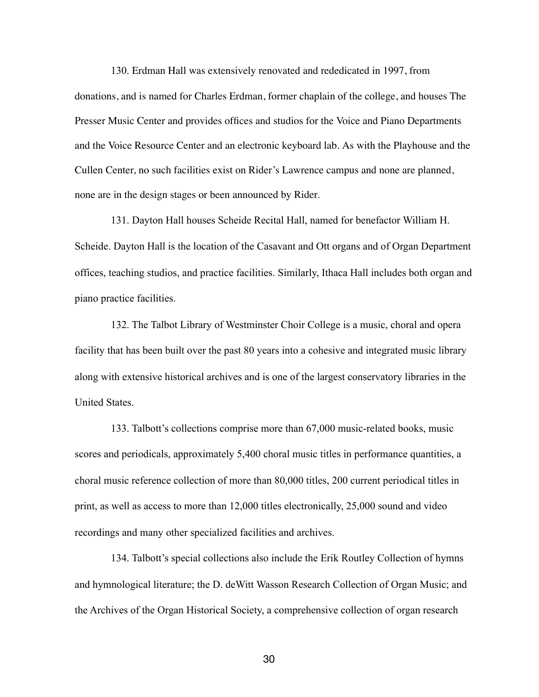130. Erdman Hall was extensively renovated and rededicated in 1997, from donations, and is named for Charles Erdman, former chaplain of the college, and houses The Presser Music Center and provides offices and studios for the Voice and Piano Departments and the Voice Resource Center and an electronic keyboard lab. As with the Playhouse and the Cullen Center, no such facilities exist on Rider's Lawrence campus and none are planned, none are in the design stages or been announced by Rider.

131. Dayton Hall houses Scheide Recital Hall, named for benefactor William H. Scheide. Dayton Hall is the location of the Casavant and Ott organs and of Organ Department offices, teaching studios, and practice facilities. Similarly, Ithaca Hall includes both organ and piano practice facilities.

132. The Talbot Library of Westminster Choir College is a music, choral and opera facility that has been built over the past 80 years into a cohesive and integrated music library along with extensive historical archives and is one of the largest conservatory libraries in the United States.

133. Talbott's collections comprise more than 67,000 music-related books, music scores and periodicals, approximately 5,400 choral music titles in performance quantities, a choral music reference collection of more than 80,000 titles, 200 current periodical titles in print, as well as access to more than 12,000 titles electronically, 25,000 sound and video recordings and many other specialized facilities and archives.

134. Talbott's special collections also include the Erik Routley Collection of hymns and hymnological literature; the D. deWitt Wasson Research Collection of Organ Music; and the Archives of the Organ Historical Society, a comprehensive collection of organ research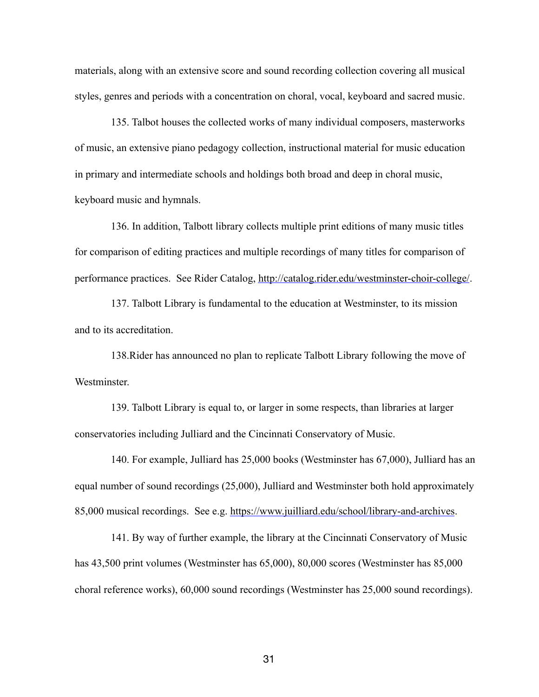materials, along with an extensive score and sound recording collection covering all musical styles, genres and periods with a concentration on choral, vocal, keyboard and sacred music.

135. Talbot houses the collected works of many individual composers, masterworks of music, an extensive piano pedagogy collection, instructional material for music education in primary and intermediate schools and holdings both broad and deep in choral music, keyboard music and hymnals.

136. In addition, Talbott library collects multiple print editions of many music titles for comparison of editing practices and multiple recordings of many titles for comparison of performance practices. See Rider Catalog,<http://catalog.rider.edu/westminster-choir-college/>.

137. Talbott Library is fundamental to the education at Westminster, to its mission and to its accreditation.

138.Rider has announced no plan to replicate Talbott Library following the move of Westminster.

139. Talbott Library is equal to, or larger in some respects, than libraries at larger conservatories including Julliard and the Cincinnati Conservatory of Music.

140. For example, Julliard has 25,000 books (Westminster has 67,000), Julliard has an equal number of sound recordings (25,000), Julliard and Westminster both hold approximately 85,000 musical recordings. See e.g.<https://www.juilliard.edu/school/library-and-archives>.

141. By way of further example, the library at the Cincinnati Conservatory of Music has 43,500 print volumes (Westminster has 65,000), 80,000 scores (Westminster has 85,000 choral reference works), 60,000 sound recordings (Westminster has 25,000 sound recordings).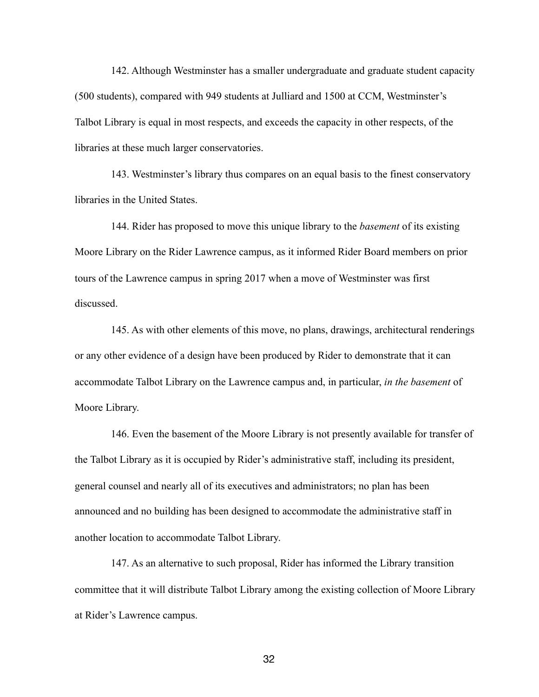142. Although Westminster has a smaller undergraduate and graduate student capacity (500 students), compared with 949 students at Julliard and 1500 at CCM, Westminster's Talbot Library is equal in most respects, and exceeds the capacity in other respects, of the libraries at these much larger conservatories.

143. Westminster's library thus compares on an equal basis to the finest conservatory libraries in the United States.

144. Rider has proposed to move this unique library to the *basement* of its existing Moore Library on the Rider Lawrence campus, as it informed Rider Board members on prior tours of the Lawrence campus in spring 2017 when a move of Westminster was first discussed.

145. As with other elements of this move, no plans, drawings, architectural renderings or any other evidence of a design have been produced by Rider to demonstrate that it can accommodate Talbot Library on the Lawrence campus and, in particular, *in the basement* of Moore Library.

146. Even the basement of the Moore Library is not presently available for transfer of the Talbot Library as it is occupied by Rider's administrative staff, including its president, general counsel and nearly all of its executives and administrators; no plan has been announced and no building has been designed to accommodate the administrative staff in another location to accommodate Talbot Library.

147. As an alternative to such proposal, Rider has informed the Library transition committee that it will distribute Talbot Library among the existing collection of Moore Library at Rider's Lawrence campus.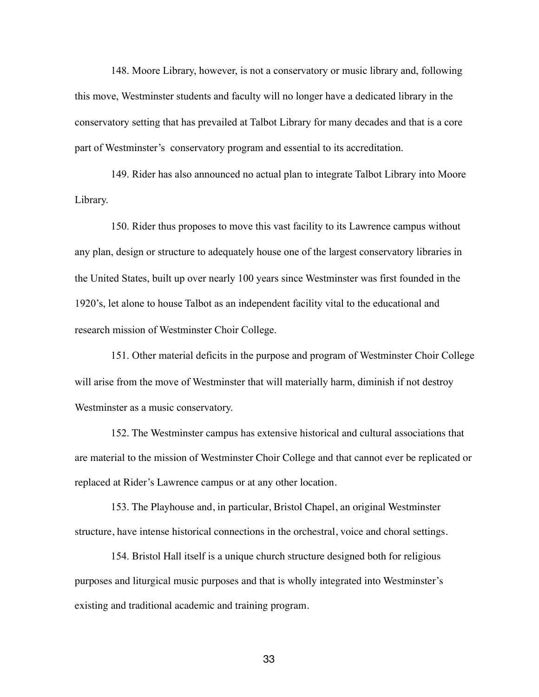148. Moore Library, however, is not a conservatory or music library and, following this move, Westminster students and faculty will no longer have a dedicated library in the conservatory setting that has prevailed at Talbot Library for many decades and that is a core part of Westminster's conservatory program and essential to its accreditation.

149. Rider has also announced no actual plan to integrate Talbot Library into Moore Library.

150. Rider thus proposes to move this vast facility to its Lawrence campus without any plan, design or structure to adequately house one of the largest conservatory libraries in the United States, built up over nearly 100 years since Westminster was first founded in the 1920's, let alone to house Talbot as an independent facility vital to the educational and research mission of Westminster Choir College.

151. Other material deficits in the purpose and program of Westminster Choir College will arise from the move of Westminster that will materially harm, diminish if not destroy Westminster as a music conservatory.

152. The Westminster campus has extensive historical and cultural associations that are material to the mission of Westminster Choir College and that cannot ever be replicated or replaced at Rider's Lawrence campus or at any other location.

153. The Playhouse and, in particular, Bristol Chapel, an original Westminster structure, have intense historical connections in the orchestral, voice and choral settings.

154. Bristol Hall itself is a unique church structure designed both for religious purposes and liturgical music purposes and that is wholly integrated into Westminster's existing and traditional academic and training program.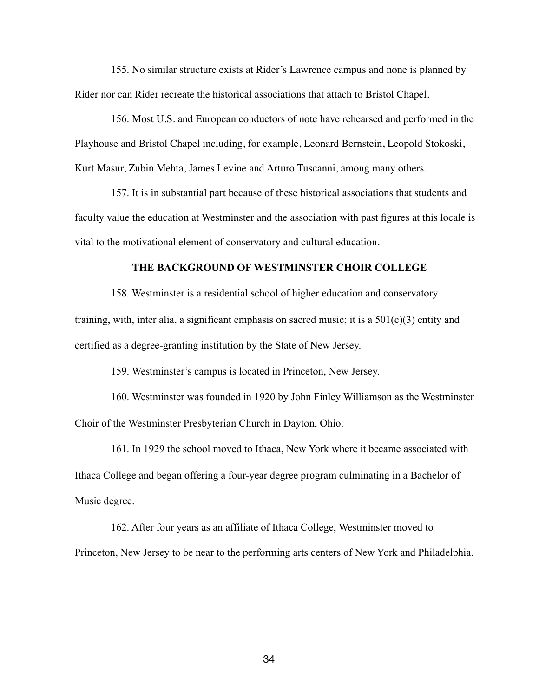155. No similar structure exists at Rider's Lawrence campus and none is planned by Rider nor can Rider recreate the historical associations that attach to Bristol Chapel.

156. Most U.S. and European conductors of note have rehearsed and performed in the Playhouse and Bristol Chapel including, for example, Leonard Bernstein, Leopold Stokoski, Kurt Masur, Zubin Mehta, James Levine and Arturo Tuscanni, among many others.

157. It is in substantial part because of these historical associations that students and faculty value the education at Westminster and the association with past figures at this locale is vital to the motivational element of conservatory and cultural education.

### **THE BACKGROUND OF WESTMINSTER CHOIR COLLEGE**

158. Westminster is a residential school of higher education and conservatory training, with, inter alia, a significant emphasis on sacred music; it is a  $501(c)(3)$  entity and certified as a degree-granting institution by the State of New Jersey.

159. Westminster's campus is located in Princeton, New Jersey.

160. Westminster was founded in 1920 by John Finley Williamson as the Westminster Choir of the Westminster Presbyterian Church in Dayton, Ohio.

161. In 1929 the school moved to Ithaca, New York where it became associated with Ithaca College and began offering a four-year degree program culminating in a Bachelor of Music degree.

162. After four years as an affiliate of Ithaca College, Westminster moved to Princeton, New Jersey to be near to the performing arts centers of New York and Philadelphia.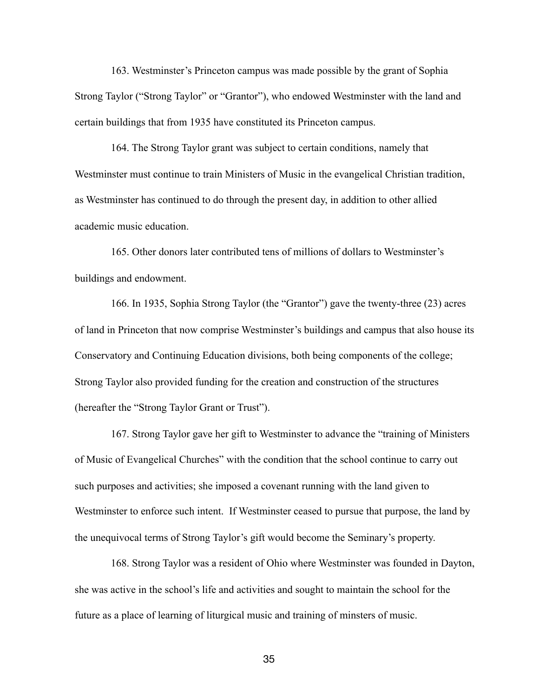163. Westminster's Princeton campus was made possible by the grant of Sophia Strong Taylor ("Strong Taylor" or "Grantor"), who endowed Westminster with the land and certain buildings that from 1935 have constituted its Princeton campus.

164. The Strong Taylor grant was subject to certain conditions, namely that Westminster must continue to train Ministers of Music in the evangelical Christian tradition, as Westminster has continued to do through the present day, in addition to other allied academic music education.

165. Other donors later contributed tens of millions of dollars to Westminster's buildings and endowment.

166. In 1935, Sophia Strong Taylor (the "Grantor") gave the twenty-three (23) acres of land in Princeton that now comprise Westminster's buildings and campus that also house its Conservatory and Continuing Education divisions, both being components of the college; Strong Taylor also provided funding for the creation and construction of the structures (hereafter the "Strong Taylor Grant or Trust").

167. Strong Taylor gave her gift to Westminster to advance the "training of Ministers of Music of Evangelical Churches" with the condition that the school continue to carry out such purposes and activities; she imposed a covenant running with the land given to Westminster to enforce such intent. If Westminster ceased to pursue that purpose, the land by the unequivocal terms of Strong Taylor's gift would become the Seminary's property.

168. Strong Taylor was a resident of Ohio where Westminster was founded in Dayton, she was active in the school's life and activities and sought to maintain the school for the future as a place of learning of liturgical music and training of minsters of music.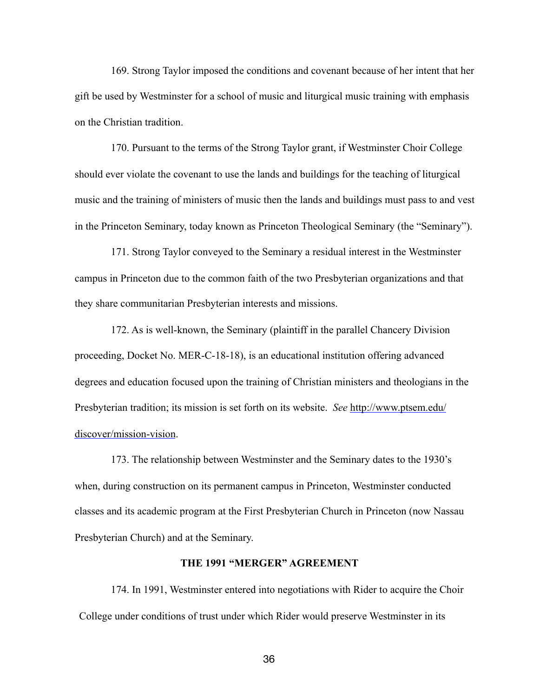169. Strong Taylor imposed the conditions and covenant because of her intent that her gift be used by Westminster for a school of music and liturgical music training with emphasis on the Christian tradition.

170. Pursuant to the terms of the Strong Taylor grant, if Westminster Choir College should ever violate the covenant to use the lands and buildings for the teaching of liturgical music and the training of ministers of music then the lands and buildings must pass to and vest in the Princeton Seminary, today known as Princeton Theological Seminary (the "Seminary").

171. Strong Taylor conveyed to the Seminary a residual interest in the Westminster campus in Princeton due to the common faith of the two Presbyterian organizations and that they share communitarian Presbyterian interests and missions.

172. As is well-known, the Seminary (plaintiff in the parallel Chancery Division proceeding, Docket No. MER-C-18-18), is an educational institution offering advanced degrees and education focused upon the training of Christian ministers and theologians in the Presbyterian tradition; its mission is set forth on its website. *See* [http://www.ptsem.edu/](http://www.ptsem.edu/discover/mission-vision) [discover/mission-vision](http://www.ptsem.edu/discover/mission-vision).

173. The relationship between Westminster and the Seminary dates to the 1930's when, during construction on its permanent campus in Princeton, Westminster conducted classes and its academic program at the First Presbyterian Church in Princeton (now Nassau Presbyterian Church) and at the Seminary.

### **THE 1991 "MERGER" AGREEMENT**

174. In 1991, Westminster entered into negotiations with Rider to acquire the Choir College under conditions of trust under which Rider would preserve Westminster in its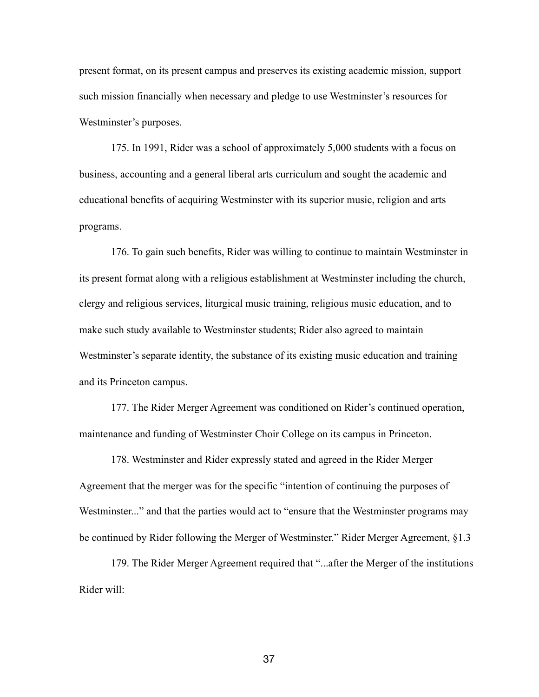present format, on its present campus and preserves its existing academic mission, support such mission financially when necessary and pledge to use Westminster's resources for Westminster's purposes.

175. In 1991, Rider was a school of approximately 5,000 students with a focus on business, accounting and a general liberal arts curriculum and sought the academic and educational benefits of acquiring Westminster with its superior music, religion and arts programs.

176. To gain such benefits, Rider was willing to continue to maintain Westminster in its present format along with a religious establishment at Westminster including the church, clergy and religious services, liturgical music training, religious music education, and to make such study available to Westminster students; Rider also agreed to maintain Westminster's separate identity, the substance of its existing music education and training and its Princeton campus.

177. The Rider Merger Agreement was conditioned on Rider's continued operation, maintenance and funding of Westminster Choir College on its campus in Princeton.

178. Westminster and Rider expressly stated and agreed in the Rider Merger Agreement that the merger was for the specific "intention of continuing the purposes of Westminster..." and that the parties would act to "ensure that the Westminster programs may be continued by Rider following the Merger of Westminster." Rider Merger Agreement, §1.3

179. The Rider Merger Agreement required that "...after the Merger of the institutions Rider will: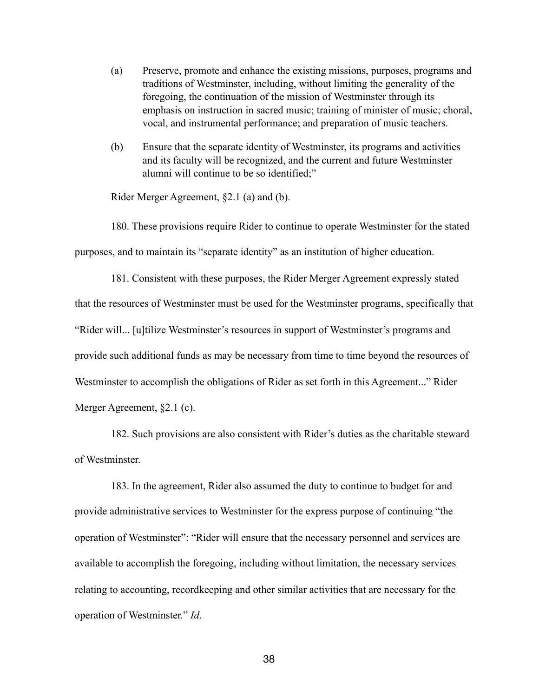- (a) Preserve, promote and enhance the existing missions, purposes, programs and traditions of Westminster, including, without limiting the generality of the foregoing, the continuation of the mission of Westminster through its emphasis on instruction in sacred music; training of minister of music; choral, vocal, and instrumental performance; and preparation of music teachers.
- (b) Ensure that the separate identity of Westminster, its programs and activities and its faculty will be recognized, and the current and future Westminster alumni will continue to be so identified;"

Rider Merger Agreement, §2.1 (a) and (b).

180. These provisions require Rider to continue to operate Westminster for the stated purposes, and to maintain its "separate identity" as an institution of higher education.

181. Consistent with these purposes, the Rider Merger Agreement expressly stated that the resources of Westminster must be used for the Westminster programs, specifically that "Rider will... [u]tilize Westminster's resources in support of Westminster's programs and provide such additional funds as may be necessary from time to time beyond the resources of Westminster to accomplish the obligations of Rider as set forth in this Agreement..." Rider Merger Agreement, §2.1 (c).

182. Such provisions are also consistent with Rider's duties as the charitable steward of Westminster.

183. In the agreement, Rider also assumed the duty to continue to budget for and provide administrative services to Westminster for the express purpose of continuing "the operation of Westminster": "Rider will ensure that the necessary personnel and services are available to accomplish the foregoing, including without limitation, the necessary services relating to accounting, recordkeeping and other similar activities that are necessary for the operation of Westminster." *Id*.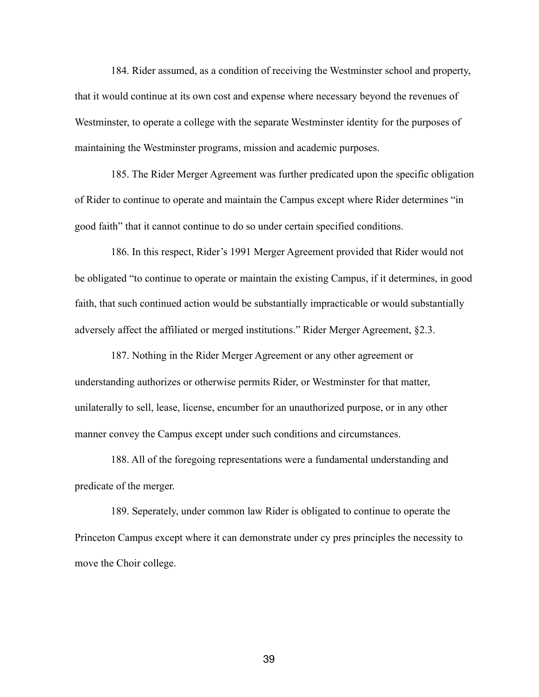184. Rider assumed, as a condition of receiving the Westminster school and property, that it would continue at its own cost and expense where necessary beyond the revenues of Westminster, to operate a college with the separate Westminster identity for the purposes of maintaining the Westminster programs, mission and academic purposes.

185. The Rider Merger Agreement was further predicated upon the specific obligation of Rider to continue to operate and maintain the Campus except where Rider determines "in good faith" that it cannot continue to do so under certain specified conditions.

186. In this respect, Rider's 1991 Merger Agreement provided that Rider would not be obligated "to continue to operate or maintain the existing Campus, if it determines, in good faith, that such continued action would be substantially impracticable or would substantially adversely affect the affiliated or merged institutions." Rider Merger Agreement, §2.3.

187. Nothing in the Rider Merger Agreement or any other agreement or understanding authorizes or otherwise permits Rider, or Westminster for that matter, unilaterally to sell, lease, license, encumber for an unauthorized purpose, or in any other manner convey the Campus except under such conditions and circumstances.

188. All of the foregoing representations were a fundamental understanding and predicate of the merger.

189. Seperately, under common law Rider is obligated to continue to operate the Princeton Campus except where it can demonstrate under cy pres principles the necessity to move the Choir college.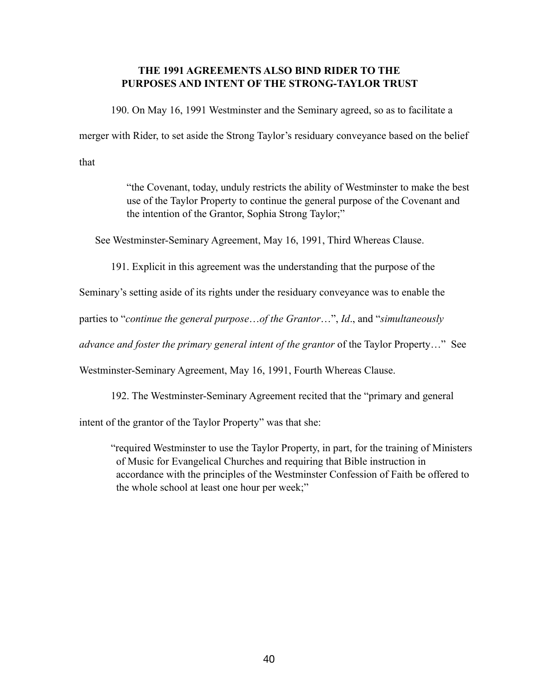# **THE 1991 AGREEMENTS ALSO BIND RIDER TO THE PURPOSES AND INTENT OF THE STRONG-TAYLOR TRUST**

190. On May 16, 1991 Westminster and the Seminary agreed, so as to facilitate a

merger with Rider, to set aside the Strong Taylor's residuary conveyance based on the belief

that

 "the Covenant, today, unduly restricts the ability of Westminster to make the best use of the Taylor Property to continue the general purpose of the Covenant and the intention of the Grantor, Sophia Strong Taylor;"

See Westminster-Seminary Agreement, May 16, 1991, Third Whereas Clause.

191. Explicit in this agreement was the understanding that the purpose of the

Seminary's setting aside of its rights under the residuary conveyance was to enable the

parties to "*continue the general purpose*…*of the Grantor*…", *Id*., and "*simultaneously* 

*advance and foster the primary general intent of the grantor* of the Taylor Property…" See

Westminster-Seminary Agreement, May 16, 1991, Fourth Whereas Clause.

192. The Westminster-Seminary Agreement recited that the "primary and general

intent of the grantor of the Taylor Property" was that she:

"required Westminster to use the Taylor Property, in part, for the training of Ministers of Music for Evangelical Churches and requiring that Bible instruction in accordance with the principles of the Westminster Confession of Faith be offered to the whole school at least one hour per week;"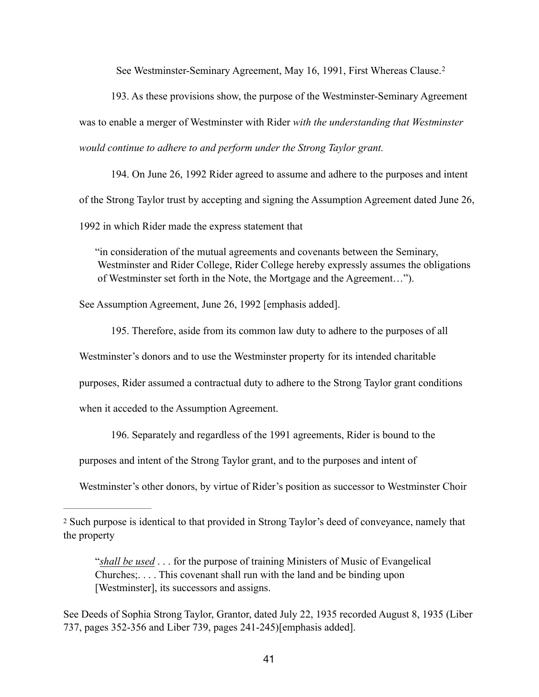<span id="page-40-1"></span>See Westminster-Seminary Agreement, May 16, 1991, First Whereas Clause.[2](#page-40-0)

193. As these provisions show, the purpose of the Westminster-Seminary Agreement was to enable a merger of Westminster with Rider *with the understanding that Westminster would continue to adhere to and perform under the Strong Taylor grant.*

194. On June 26, 1992 Rider agreed to assume and adhere to the purposes and intent of the Strong Taylor trust by accepting and signing the Assumption Agreement dated June 26, 1992 in which Rider made the express statement that

"in consideration of the mutual agreements and covenants between the Seminary, Westminster and Rider College, Rider College hereby expressly assumes the obligations of Westminster set forth in the Note, the Mortgage and the Agreement…").

See Assumption Agreement, June 26, 1992 [emphasis added].

195. Therefore, aside from its common law duty to adhere to the purposes of all Westminster's donors and to use the Westminster property for its intended charitable purposes, Rider assumed a contractual duty to adhere to the Strong Taylor grant conditions when it acceded to the Assumption Agreement.

196. Separately and regardless of the 1991 agreements, Rider is bound to the

purposes and intent of the Strong Taylor grant, and to the purposes and intent of

Westminster's other donors, by virtue of Rider's position as successor to Westminster Choir

<span id="page-40-0"></span>[<sup>2</sup>](#page-40-1) Such purpose is identical to that provided in Strong Taylor's deed of conveyance, namely that the property

 <sup>&</sup>quot;*shall be used* . . . for the purpose of training Ministers of Music of Evangelical Churches;. . . . This covenant shall run with the land and be binding upon [Westminster], its successors and assigns.

See Deeds of Sophia Strong Taylor, Grantor, dated July 22, 1935 recorded August 8, 1935 (Liber 737, pages 352-356 and Liber 739, pages 241-245)[emphasis added].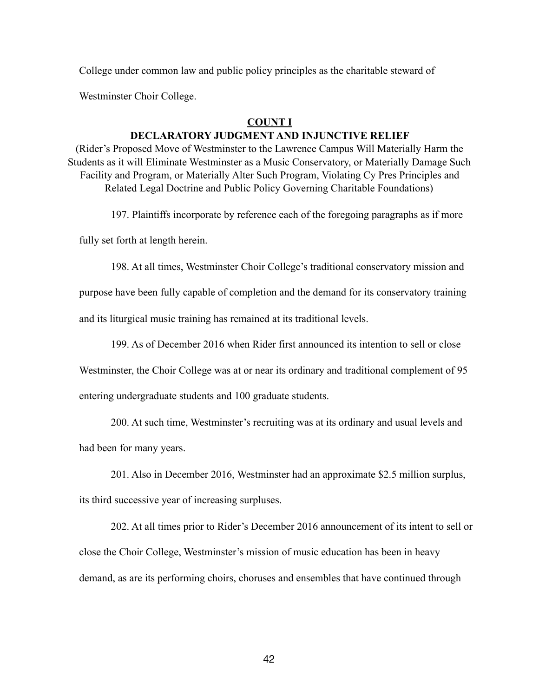College under common law and public policy principles as the charitable steward of

Westminster Choir College.

### **COUNT I**

## **DECLARATORY JUDGMENT AND INJUNCTIVE RELIEF**

(Rider's Proposed Move of Westminster to the Lawrence Campus Will Materially Harm the Students as it will Eliminate Westminster as a Music Conservatory, or Materially Damage Such Facility and Program, or Materially Alter Such Program, Violating Cy Pres Principles and Related Legal Doctrine and Public Policy Governing Charitable Foundations)

197. Plaintiffs incorporate by reference each of the foregoing paragraphs as if more

fully set forth at length herein.

198. At all times, Westminster Choir College's traditional conservatory mission and

purpose have been fully capable of completion and the demand for its conservatory training

and its liturgical music training has remained at its traditional levels.

199. As of December 2016 when Rider first announced its intention to sell or close

Westminster, the Choir College was at or near its ordinary and traditional complement of 95 entering undergraduate students and 100 graduate students.

200. At such time, Westminster's recruiting was at its ordinary and usual levels and had been for many years.

201. Also in December 2016, Westminster had an approximate \$2.5 million surplus,

its third successive year of increasing surpluses.

202. At all times prior to Rider's December 2016 announcement of its intent to sell or close the Choir College, Westminster's mission of music education has been in heavy demand, as are its performing choirs, choruses and ensembles that have continued through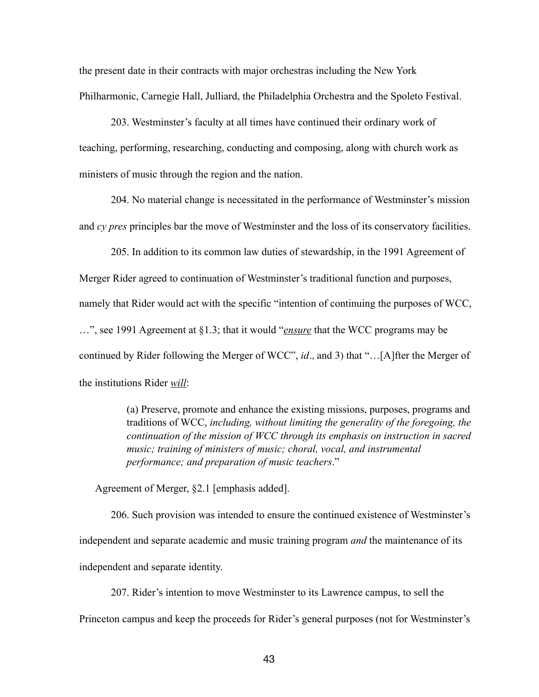the present date in their contracts with major orchestras including the New York Philharmonic, Carnegie Hall, Julliard, the Philadelphia Orchestra and the Spoleto Festival.

203. Westminster's faculty at all times have continued their ordinary work of teaching, performing, researching, conducting and composing, along with church work as ministers of music through the region and the nation.

204. No material change is necessitated in the performance of Westminster's mission and *cy pres* principles bar the move of Westminster and the loss of its conservatory facilities.

205. In addition to its common law duties of stewardship, in the 1991 Agreement of Merger Rider agreed to continuation of Westminster's traditional function and purposes, namely that Rider would act with the specific "intention of continuing the purposes of WCC, …", see 1991 Agreement at §1.3; that it would "*ensure* that the WCC programs may be continued by Rider following the Merger of WCC", *id.,* and 3) that "…[A]fter the Merger of the institutions Rider *will*:

> (a) Preserve, promote and enhance the existing missions, purposes, programs and traditions of WCC, *including, without limiting the generality of the foregoing, the continuation of the mission of WCC through its emphasis on instruction in sacred music; training of ministers of music; choral, vocal, and instrumental performance; and preparation of music teachers*."

Agreement of Merger, §2.1 [emphasis added].

206. Such provision was intended to ensure the continued existence of Westminster's independent and separate academic and music training program *and* the maintenance of its independent and separate identity.

207. Rider's intention to move Westminster to its Lawrence campus, to sell the

Princeton campus and keep the proceeds for Rider's general purposes (not for Westminster's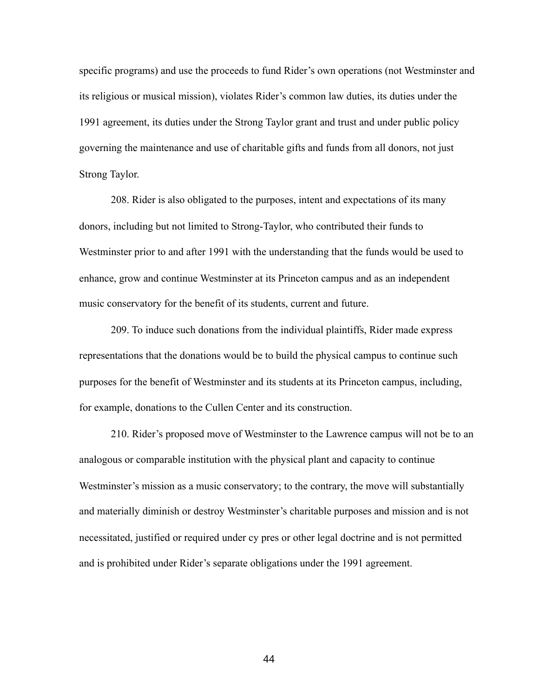specific programs) and use the proceeds to fund Rider's own operations (not Westminster and its religious or musical mission), violates Rider's common law duties, its duties under the 1991 agreement, its duties under the Strong Taylor grant and trust and under public policy governing the maintenance and use of charitable gifts and funds from all donors, not just Strong Taylor.

208. Rider is also obligated to the purposes, intent and expectations of its many donors, including but not limited to Strong-Taylor, who contributed their funds to Westminster prior to and after 1991 with the understanding that the funds would be used to enhance, grow and continue Westminster at its Princeton campus and as an independent music conservatory for the benefit of its students, current and future.

209. To induce such donations from the individual plaintiffs, Rider made express representations that the donations would be to build the physical campus to continue such purposes for the benefit of Westminster and its students at its Princeton campus, including, for example, donations to the Cullen Center and its construction.

210. Rider's proposed move of Westminster to the Lawrence campus will not be to an analogous or comparable institution with the physical plant and capacity to continue Westminster's mission as a music conservatory; to the contrary, the move will substantially and materially diminish or destroy Westminster's charitable purposes and mission and is not necessitated, justified or required under cy pres or other legal doctrine and is not permitted and is prohibited under Rider's separate obligations under the 1991 agreement.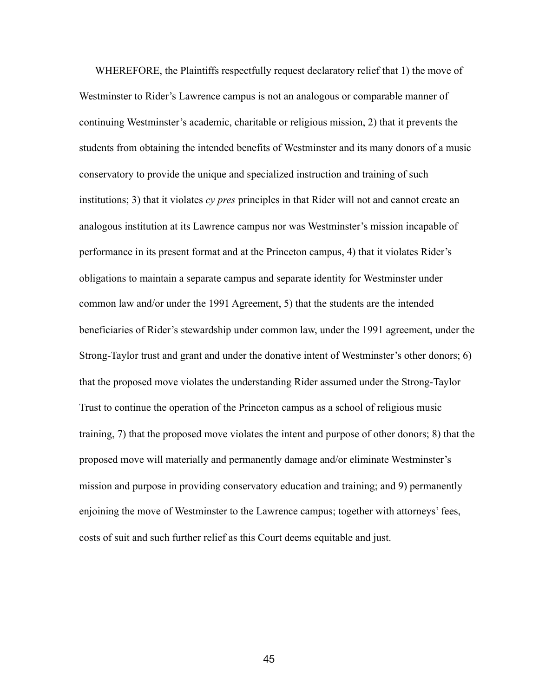WHEREFORE, the Plaintiffs respectfully request declaratory relief that 1) the move of Westminster to Rider's Lawrence campus is not an analogous or comparable manner of continuing Westminster's academic, charitable or religious mission, 2) that it prevents the students from obtaining the intended benefits of Westminster and its many donors of a music conservatory to provide the unique and specialized instruction and training of such institutions; 3) that it violates *cy pres* principles in that Rider will not and cannot create an analogous institution at its Lawrence campus nor was Westminster's mission incapable of performance in its present format and at the Princeton campus, 4) that it violates Rider's obligations to maintain a separate campus and separate identity for Westminster under common law and/or under the 1991 Agreement, 5) that the students are the intended beneficiaries of Rider's stewardship under common law, under the 1991 agreement, under the Strong-Taylor trust and grant and under the donative intent of Westminster's other donors; 6) that the proposed move violates the understanding Rider assumed under the Strong-Taylor Trust to continue the operation of the Princeton campus as a school of religious music training, 7) that the proposed move violates the intent and purpose of other donors; 8) that the proposed move will materially and permanently damage and/or eliminate Westminster's mission and purpose in providing conservatory education and training; and 9) permanently enjoining the move of Westminster to the Lawrence campus; together with attorneys' fees, costs of suit and such further relief as this Court deems equitable and just.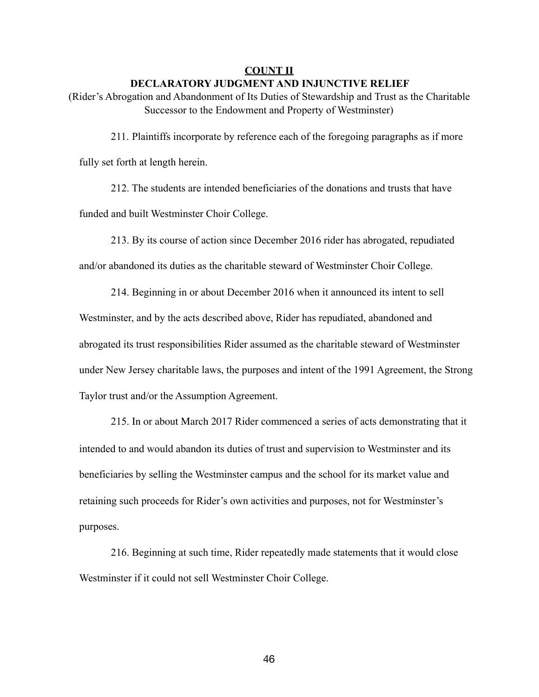#### **COUNT II**

#### **DECLARATORY JUDGMENT AND INJUNCTIVE RELIEF**

(Rider's Abrogation and Abandonment of Its Duties of Stewardship and Trust as the Charitable Successor to the Endowment and Property of Westminster)

211. Plaintiffs incorporate by reference each of the foregoing paragraphs as if more fully set forth at length herein.

212. The students are intended beneficiaries of the donations and trusts that have funded and built Westminster Choir College.

213. By its course of action since December 2016 rider has abrogated, repudiated and/or abandoned its duties as the charitable steward of Westminster Choir College.

214. Beginning in or about December 2016 when it announced its intent to sell Westminster, and by the acts described above, Rider has repudiated, abandoned and abrogated its trust responsibilities Rider assumed as the charitable steward of Westminster under New Jersey charitable laws, the purposes and intent of the 1991 Agreement, the Strong Taylor trust and/or the Assumption Agreement.

215. In or about March 2017 Rider commenced a series of acts demonstrating that it intended to and would abandon its duties of trust and supervision to Westminster and its beneficiaries by selling the Westminster campus and the school for its market value and retaining such proceeds for Rider's own activities and purposes, not for Westminster's purposes.

216. Beginning at such time, Rider repeatedly made statements that it would close Westminster if it could not sell Westminster Choir College.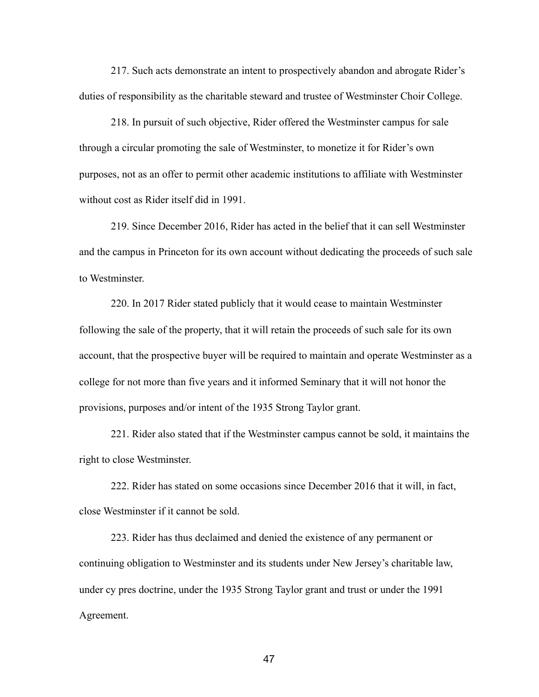217. Such acts demonstrate an intent to prospectively abandon and abrogate Rider's duties of responsibility as the charitable steward and trustee of Westminster Choir College.

218. In pursuit of such objective, Rider offered the Westminster campus for sale through a circular promoting the sale of Westminster, to monetize it for Rider's own purposes, not as an offer to permit other academic institutions to affiliate with Westminster without cost as Rider itself did in 1991.

219. Since December 2016, Rider has acted in the belief that it can sell Westminster and the campus in Princeton for its own account without dedicating the proceeds of such sale to Westminster.

220. In 2017 Rider stated publicly that it would cease to maintain Westminster following the sale of the property, that it will retain the proceeds of such sale for its own account, that the prospective buyer will be required to maintain and operate Westminster as a college for not more than five years and it informed Seminary that it will not honor the provisions, purposes and/or intent of the 1935 Strong Taylor grant.

221. Rider also stated that if the Westminster campus cannot be sold, it maintains the right to close Westminster.

222. Rider has stated on some occasions since December 2016 that it will, in fact, close Westminster if it cannot be sold.

223. Rider has thus declaimed and denied the existence of any permanent or continuing obligation to Westminster and its students under New Jersey's charitable law, under cy pres doctrine, under the 1935 Strong Taylor grant and trust or under the 1991 Agreement.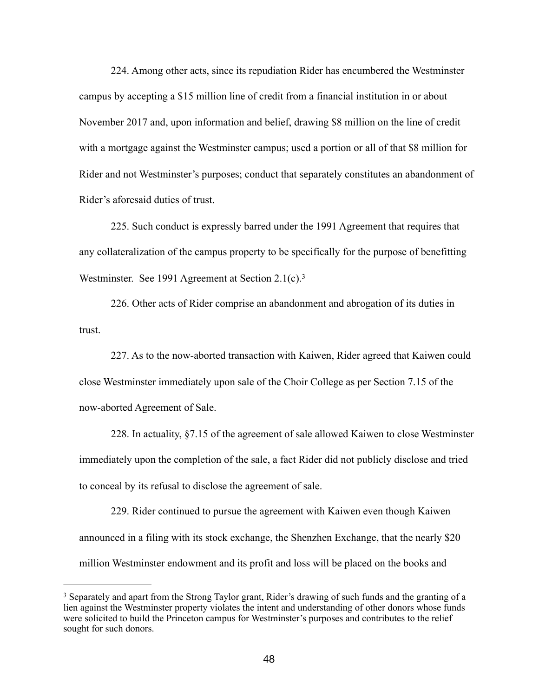224. Among other acts, since its repudiation Rider has encumbered the Westminster campus by accepting a \$15 million line of credit from a financial institution in or about November 2017 and, upon information and belief, drawing \$8 million on the line of credit with a mortgage against the Westminster campus; used a portion or all of that \$8 million for Rider and not Westminster's purposes; conduct that separately constitutes an abandonment of Rider's aforesaid duties of trust.

225. Such conduct is expressly barred under the 1991 Agreement that requires that any collateralization of the campus property to be specifically for the purpose of benefitting Westminster. See 1991 Agreement at Section 2.1(c).<sup>[3](#page-47-0)</sup>

<span id="page-47-1"></span>226. Other acts of Rider comprise an abandonment and abrogation of its duties in trust.

227. As to the now-aborted transaction with Kaiwen, Rider agreed that Kaiwen could close Westminster immediately upon sale of the Choir College as per Section 7.15 of the now-aborted Agreement of Sale.

228. In actuality, §7.15 of the agreement of sale allowed Kaiwen to close Westminster immediately upon the completion of the sale, a fact Rider did not publicly disclose and tried to conceal by its refusal to disclose the agreement of sale.

229. Rider continued to pursue the agreement with Kaiwen even though Kaiwen announced in a filing with its stock exchange, the Shenzhen Exchange, that the nearly \$20 million Westminster endowment and its profit and loss will be placed on the books and

<span id="page-47-0"></span><sup>&</sup>lt;sup>3</sup>Separately and apart from the Strong Taylor grant. Rider's drawing of such funds and the granting of a lien against the Westminster property violates the intent and understanding of other donors whose funds were solicited to build the Princeton campus for Westminster's purposes and contributes to the relief sought for such donors.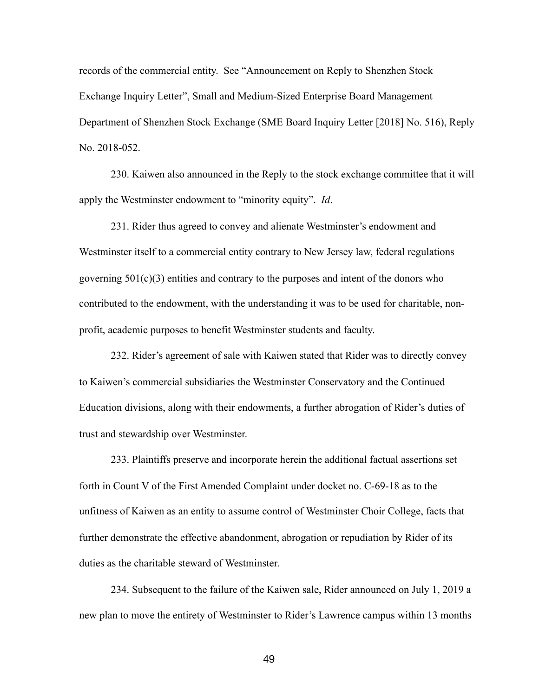records of the commercial entity. See "Announcement on Reply to Shenzhen Stock Exchange Inquiry Letter", Small and Medium-Sized Enterprise Board Management Department of Shenzhen Stock Exchange (SME Board Inquiry Letter [2018] No. 516), Reply No. 2018-052.

230. Kaiwen also announced in the Reply to the stock exchange committee that it will apply the Westminster endowment to "minority equity". *Id*.

231. Rider thus agreed to convey and alienate Westminster's endowment and Westminster itself to a commercial entity contrary to New Jersey law, federal regulations governing  $501(c)(3)$  entities and contrary to the purposes and intent of the donors who contributed to the endowment, with the understanding it was to be used for charitable, nonprofit, academic purposes to benefit Westminster students and faculty.

232. Rider's agreement of sale with Kaiwen stated that Rider was to directly convey to Kaiwen's commercial subsidiaries the Westminster Conservatory and the Continued Education divisions, along with their endowments, a further abrogation of Rider's duties of trust and stewardship over Westminster.

233. Plaintiffs preserve and incorporate herein the additional factual assertions set forth in Count V of the First Amended Complaint under docket no. C-69-18 as to the unfitness of Kaiwen as an entity to assume control of Westminster Choir College, facts that further demonstrate the effective abandonment, abrogation or repudiation by Rider of its duties as the charitable steward of Westminster.

234. Subsequent to the failure of the Kaiwen sale, Rider announced on July 1, 2019 a new plan to move the entirety of Westminster to Rider's Lawrence campus within 13 months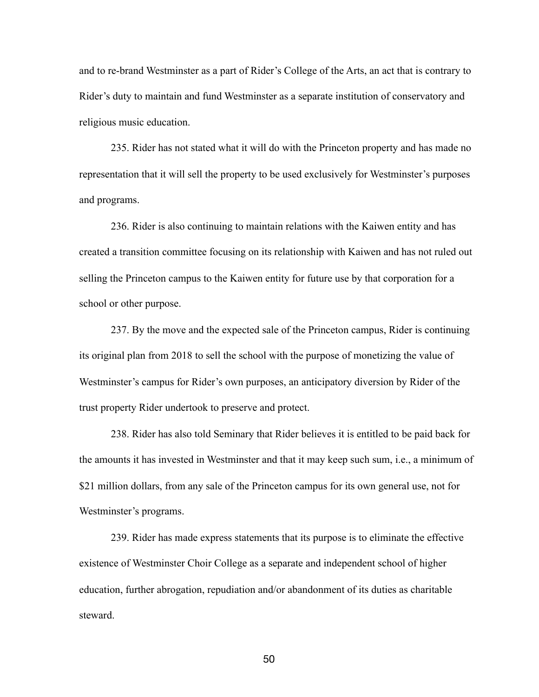and to re-brand Westminster as a part of Rider's College of the Arts, an act that is contrary to Rider's duty to maintain and fund Westminster as a separate institution of conservatory and religious music education.

235. Rider has not stated what it will do with the Princeton property and has made no representation that it will sell the property to be used exclusively for Westminster's purposes and programs.

236. Rider is also continuing to maintain relations with the Kaiwen entity and has created a transition committee focusing on its relationship with Kaiwen and has not ruled out selling the Princeton campus to the Kaiwen entity for future use by that corporation for a school or other purpose.

237. By the move and the expected sale of the Princeton campus, Rider is continuing its original plan from 2018 to sell the school with the purpose of monetizing the value of Westminster's campus for Rider's own purposes, an anticipatory diversion by Rider of the trust property Rider undertook to preserve and protect.

238. Rider has also told Seminary that Rider believes it is entitled to be paid back for the amounts it has invested in Westminster and that it may keep such sum, i.e., a minimum of \$21 million dollars, from any sale of the Princeton campus for its own general use, not for Westminster's programs.

239. Rider has made express statements that its purpose is to eliminate the effective existence of Westminster Choir College as a separate and independent school of higher education, further abrogation, repudiation and/or abandonment of its duties as charitable steward.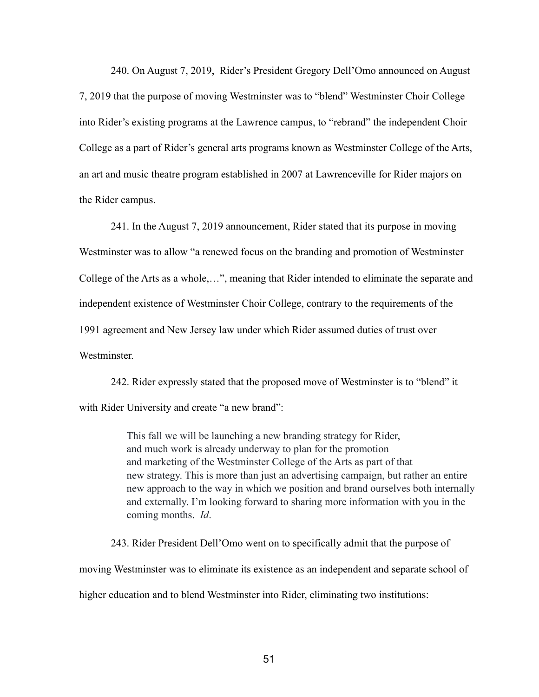240. On August 7, 2019, Rider's President Gregory Dell'Omo announced on August 7, 2019 that the purpose of moving Westminster was to "blend" Westminster Choir College into Rider's existing programs at the Lawrence campus, to "rebrand" the independent Choir College as a part of Rider's general arts programs known as Westminster College of the Arts, an art and music theatre program established in 2007 at Lawrenceville for Rider majors on the Rider campus.

241. In the August 7, 2019 announcement, Rider stated that its purpose in moving Westminster was to allow "a renewed focus on the branding and promotion of Westminster College of the Arts as a whole,…", meaning that Rider intended to eliminate the separate and independent existence of Westminster Choir College, contrary to the requirements of the 1991 agreement and New Jersey law under which Rider assumed duties of trust over **Westminster** 

242. Rider expressly stated that the proposed move of Westminster is to "blend" it with Rider University and create "a new brand":

> This fall we will be launching a new branding strategy for Rider, and much work is already underway to plan for the promotion and marketing of the Westminster College of the Arts as part of that new strategy. This is more than just an advertising campaign, but rather an entire new approach to the way in which we position and brand ourselves both internally and externally. I'm looking forward to sharing more information with you in the coming months. *Id*.

243. Rider President Dell'Omo went on to specifically admit that the purpose of moving Westminster was to eliminate its existence as an independent and separate school of higher education and to blend Westminster into Rider, eliminating two institutions: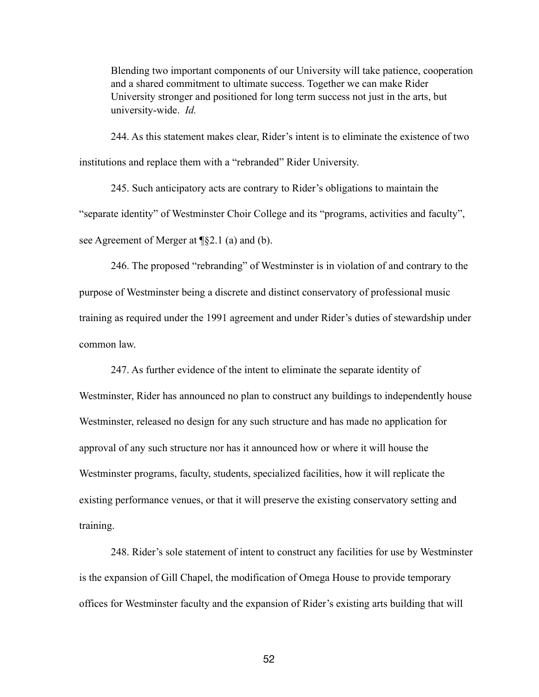Blending two important components of our University will take patience, cooperation and a shared commitment to ultimate success. Together we can make Rider University stronger and positioned for long term success not just in the arts, but university-wide. *Id.* 

244. As this statement makes clear, Rider's intent is to eliminate the existence of two institutions and replace them with a "rebranded" Rider University.

245. Such anticipatory acts are contrary to Rider's obligations to maintain the "separate identity" of Westminster Choir College and its "programs, activities and faculty", see Agreement of Merger at ¶§2.1 (a) and (b).

246. The proposed "rebranding" of Westminster is in violation of and contrary to the purpose of Westminster being a discrete and distinct conservatory of professional music training as required under the 1991 agreement and under Rider's duties of stewardship under common law.

247. As further evidence of the intent to eliminate the separate identity of

Westminster, Rider has announced no plan to construct any buildings to independently house Westminster, released no design for any such structure and has made no application for approval of any such structure nor has it announced how or where it will house the Westminster programs, faculty, students, specialized facilities, how it will replicate the existing performance venues, or that it will preserve the existing conservatory setting and training.

248. Rider's sole statement of intent to construct any facilities for use by Westminster is the expansion of Gill Chapel, the modification of Omega House to provide temporary offices for Westminster faculty and the expansion of Rider's existing arts building that will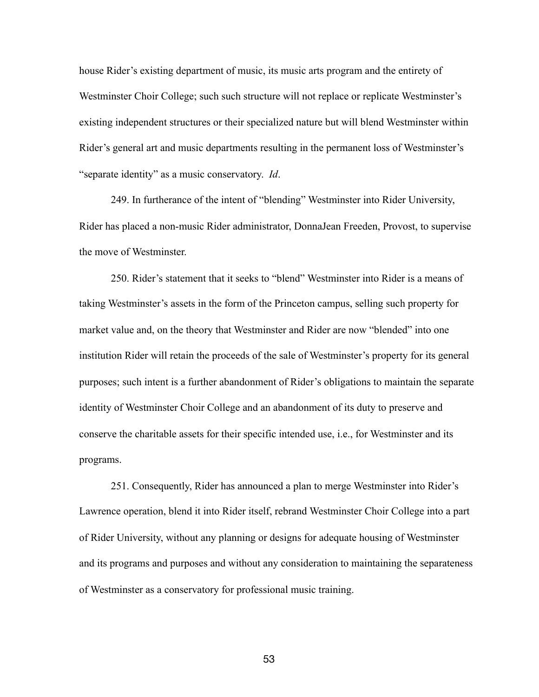house Rider's existing department of music, its music arts program and the entirety of Westminster Choir College; such such structure will not replace or replicate Westminster's existing independent structures or their specialized nature but will blend Westminster within Rider's general art and music departments resulting in the permanent loss of Westminster's "separate identity" as a music conservatory. *Id*.

249. In furtherance of the intent of "blending" Westminster into Rider University, Rider has placed a non-music Rider administrator, DonnaJean Freeden, Provost, to supervise the move of Westminster.

250. Rider's statement that it seeks to "blend" Westminster into Rider is a means of taking Westminster's assets in the form of the Princeton campus, selling such property for market value and, on the theory that Westminster and Rider are now "blended" into one institution Rider will retain the proceeds of the sale of Westminster's property for its general purposes; such intent is a further abandonment of Rider's obligations to maintain the separate identity of Westminster Choir College and an abandonment of its duty to preserve and conserve the charitable assets for their specific intended use, i.e., for Westminster and its programs.

251. Consequently, Rider has announced a plan to merge Westminster into Rider's Lawrence operation, blend it into Rider itself, rebrand Westminster Choir College into a part of Rider University, without any planning or designs for adequate housing of Westminster and its programs and purposes and without any consideration to maintaining the separateness of Westminster as a conservatory for professional music training.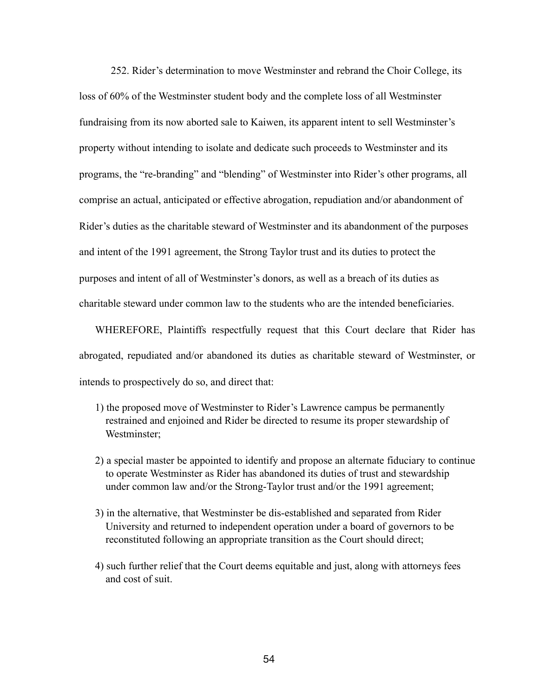252. Rider's determination to move Westminster and rebrand the Choir College, its loss of 60% of the Westminster student body and the complete loss of all Westminster fundraising from its now aborted sale to Kaiwen, its apparent intent to sell Westminster's property without intending to isolate and dedicate such proceeds to Westminster and its programs, the "re-branding" and "blending" of Westminster into Rider's other programs, all comprise an actual, anticipated or effective abrogation, repudiation and/or abandonment of Rider's duties as the charitable steward of Westminster and its abandonment of the purposes and intent of the 1991 agreement, the Strong Taylor trust and its duties to protect the purposes and intent of all of Westminster's donors, as well as a breach of its duties as charitable steward under common law to the students who are the intended beneficiaries.

 WHEREFORE, Plaintiffs respectfully request that this Court declare that Rider has abrogated, repudiated and/or abandoned its duties as charitable steward of Westminster, or intends to prospectively do so, and direct that:

- 1) the proposed move of Westminster to Rider's Lawrence campus be permanently restrained and enjoined and Rider be directed to resume its proper stewardship of Westminster;
- 2) a special master be appointed to identify and propose an alternate fiduciary to continue to operate Westminster as Rider has abandoned its duties of trust and stewardship under common law and/or the Strong-Taylor trust and/or the 1991 agreement;
- 3) in the alternative, that Westminster be dis-established and separated from Rider University and returned to independent operation under a board of governors to be reconstituted following an appropriate transition as the Court should direct;
- 4) such further relief that the Court deems equitable and just, along with attorneys fees and cost of suit.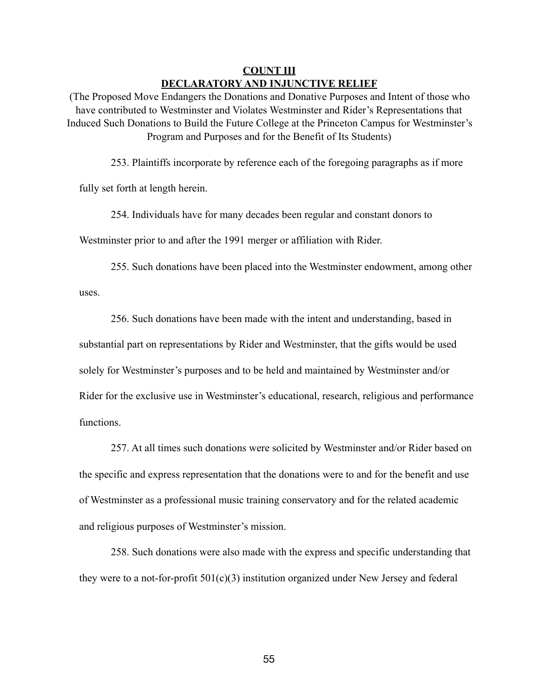# **COUNT III DECLARATORY AND INJUNCTIVE RELIEF**

(The Proposed Move Endangers the Donations and Donative Purposes and Intent of those who have contributed to Westminster and Violates Westminster and Rider's Representations that Induced Such Donations to Build the Future College at the Princeton Campus for Westminster's Program and Purposes and for the Benefit of Its Students)

253. Plaintiffs incorporate by reference each of the foregoing paragraphs as if more

fully set forth at length herein.

254. Individuals have for many decades been regular and constant donors to

Westminster prior to and after the 1991 merger or affiliation with Rider.

255. Such donations have been placed into the Westminster endowment, among other

uses.

256. Such donations have been made with the intent and understanding, based in substantial part on representations by Rider and Westminster, that the gifts would be used solely for Westminster's purposes and to be held and maintained by Westminster and/or Rider for the exclusive use in Westminster's educational, research, religious and performance functions.

257. At all times such donations were solicited by Westminster and/or Rider based on the specific and express representation that the donations were to and for the benefit and use of Westminster as a professional music training conservatory and for the related academic and religious purposes of Westminster's mission.

258. Such donations were also made with the express and specific understanding that they were to a not-for-profit  $501(c)(3)$  institution organized under New Jersey and federal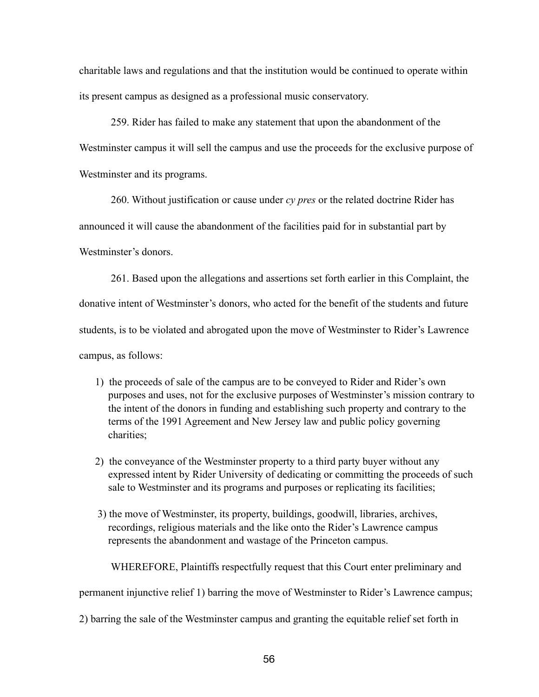charitable laws and regulations and that the institution would be continued to operate within its present campus as designed as a professional music conservatory.

259. Rider has failed to make any statement that upon the abandonment of the Westminster campus it will sell the campus and use the proceeds for the exclusive purpose of Westminster and its programs.

260. Without justification or cause under *cy pres* or the related doctrine Rider has

announced it will cause the abandonment of the facilities paid for in substantial part by

Westminster's donors.

261. Based upon the allegations and assertions set forth earlier in this Complaint, the donative intent of Westminster's donors, who acted for the benefit of the students and future students, is to be violated and abrogated upon the move of Westminster to Rider's Lawrence campus, as follows:

- 1) the proceeds of sale of the campus are to be conveyed to Rider and Rider's own purposes and uses, not for the exclusive purposes of Westminster's mission contrary to the intent of the donors in funding and establishing such property and contrary to the terms of the 1991 Agreement and New Jersey law and public policy governing charities;
- 2) the conveyance of the Westminster property to a third party buyer without any expressed intent by Rider University of dedicating or committing the proceeds of such sale to Westminster and its programs and purposes or replicating its facilities;
- 3) the move of Westminster, its property, buildings, goodwill, libraries, archives, recordings, religious materials and the like onto the Rider's Lawrence campus represents the abandonment and wastage of the Princeton campus.

WHEREFORE, Plaintiffs respectfully request that this Court enter preliminary and

permanent injunctive relief 1) barring the move of Westminster to Rider's Lawrence campus;

2) barring the sale of the Westminster campus and granting the equitable relief set forth in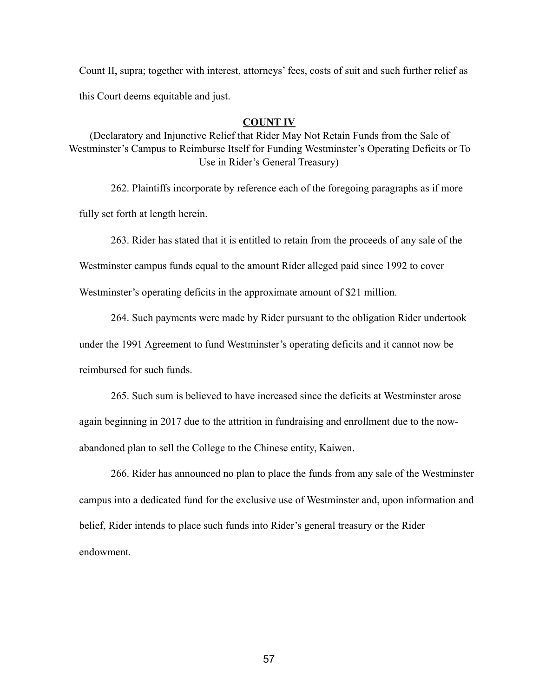Count II, supra; together with interest, attorneys' fees, costs of suit and such further relief as this Court deems equitable and just.

# **COUNT IV**

(Declaratory and Injunctive Relief that Rider May Not Retain Funds from the Sale of Westminster's Campus to Reimburse Itself for Funding Westminster's Operating Deficits or To Use in Rider's General Treasury)

262. Plaintiffs incorporate by reference each of the foregoing paragraphs as if more

fully set forth at length herein.

263. Rider has stated that it is entitled to retain from the proceeds of any sale of the

Westminster campus funds equal to the amount Rider alleged paid since 1992 to cover

Westminster's operating deficits in the approximate amount of \$21 million.

264. Such payments were made by Rider pursuant to the obligation Rider undertook

under the 1991 Agreement to fund Westminster's operating deficits and it cannot now be reimbursed for such funds.

265. Such sum is believed to have increased since the deficits at Westminster arose again beginning in 2017 due to the attrition in fundraising and enrollment due to the nowabandoned plan to sell the College to the Chinese entity, Kaiwen.

266. Rider has announced no plan to place the funds from any sale of the Westminster campus into a dedicated fund for the exclusive use of Westminster and, upon information and belief, Rider intends to place such funds into Rider's general treasury or the Rider endowment.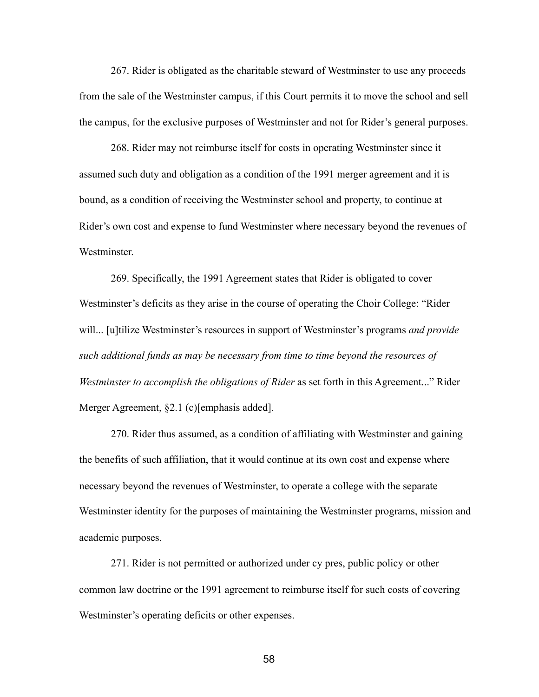267. Rider is obligated as the charitable steward of Westminster to use any proceeds from the sale of the Westminster campus, if this Court permits it to move the school and sell the campus, for the exclusive purposes of Westminster and not for Rider's general purposes.

268. Rider may not reimburse itself for costs in operating Westminster since it assumed such duty and obligation as a condition of the 1991 merger agreement and it is bound, as a condition of receiving the Westminster school and property, to continue at Rider's own cost and expense to fund Westminster where necessary beyond the revenues of Westminster.

269. Specifically, the 1991 Agreement states that Rider is obligated to cover Westminster's deficits as they arise in the course of operating the Choir College: "Rider will... [u]tilize Westminster's resources in support of Westminster's programs *and provide such additional funds as may be necessary from time to time beyond the resources of Westminster to accomplish the obligations of Rider* as set forth in this Agreement..." Rider Merger Agreement, §2.1 (c)[emphasis added].

270. Rider thus assumed, as a condition of affiliating with Westminster and gaining the benefits of such affiliation, that it would continue at its own cost and expense where necessary beyond the revenues of Westminster, to operate a college with the separate Westminster identity for the purposes of maintaining the Westminster programs, mission and academic purposes.

271. Rider is not permitted or authorized under cy pres, public policy or other common law doctrine or the 1991 agreement to reimburse itself for such costs of covering Westminster's operating deficits or other expenses.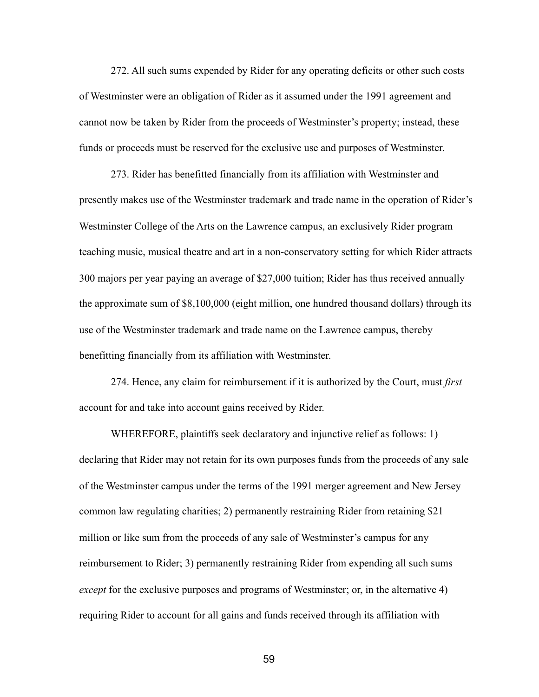272. All such sums expended by Rider for any operating deficits or other such costs of Westminster were an obligation of Rider as it assumed under the 1991 agreement and cannot now be taken by Rider from the proceeds of Westminster's property; instead, these funds or proceeds must be reserved for the exclusive use and purposes of Westminster.

273. Rider has benefitted financially from its affiliation with Westminster and presently makes use of the Westminster trademark and trade name in the operation of Rider's Westminster College of the Arts on the Lawrence campus, an exclusively Rider program teaching music, musical theatre and art in a non-conservatory setting for which Rider attracts 300 majors per year paying an average of \$27,000 tuition; Rider has thus received annually the approximate sum of \$8,100,000 (eight million, one hundred thousand dollars) through its use of the Westminster trademark and trade name on the Lawrence campus, thereby benefitting financially from its affiliation with Westminster.

274. Hence, any claim for reimbursement if it is authorized by the Court, must *first* account for and take into account gains received by Rider.

WHEREFORE, plaintiffs seek declaratory and injunctive relief as follows: 1) declaring that Rider may not retain for its own purposes funds from the proceeds of any sale of the Westminster campus under the terms of the 1991 merger agreement and New Jersey common law regulating charities; 2) permanently restraining Rider from retaining \$21 million or like sum from the proceeds of any sale of Westminster's campus for any reimbursement to Rider; 3) permanently restraining Rider from expending all such sums *except* for the exclusive purposes and programs of Westminster; or, in the alternative 4) requiring Rider to account for all gains and funds received through its affiliation with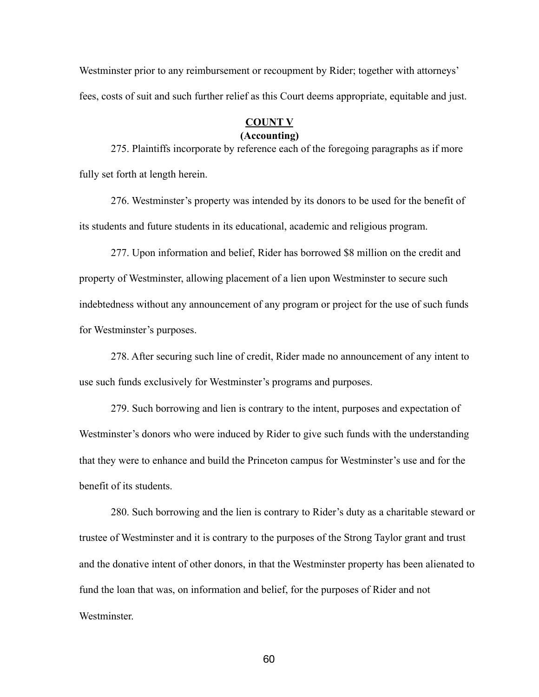Westminster prior to any reimbursement or recoupment by Rider; together with attorneys' fees, costs of suit and such further relief as this Court deems appropriate, equitable and just.

### **COUNT V (Accounting)**

275. Plaintiffs incorporate by reference each of the foregoing paragraphs as if more fully set forth at length herein.

276. Westminster's property was intended by its donors to be used for the benefit of its students and future students in its educational, academic and religious program.

277. Upon information and belief, Rider has borrowed \$8 million on the credit and property of Westminster, allowing placement of a lien upon Westminster to secure such indebtedness without any announcement of any program or project for the use of such funds for Westminster's purposes.

278. After securing such line of credit, Rider made no announcement of any intent to use such funds exclusively for Westminster's programs and purposes.

279. Such borrowing and lien is contrary to the intent, purposes and expectation of Westminster's donors who were induced by Rider to give such funds with the understanding that they were to enhance and build the Princeton campus for Westminster's use and for the benefit of its students.

280. Such borrowing and the lien is contrary to Rider's duty as a charitable steward or trustee of Westminster and it is contrary to the purposes of the Strong Taylor grant and trust and the donative intent of other donors, in that the Westminster property has been alienated to fund the loan that was, on information and belief, for the purposes of Rider and not Westminster.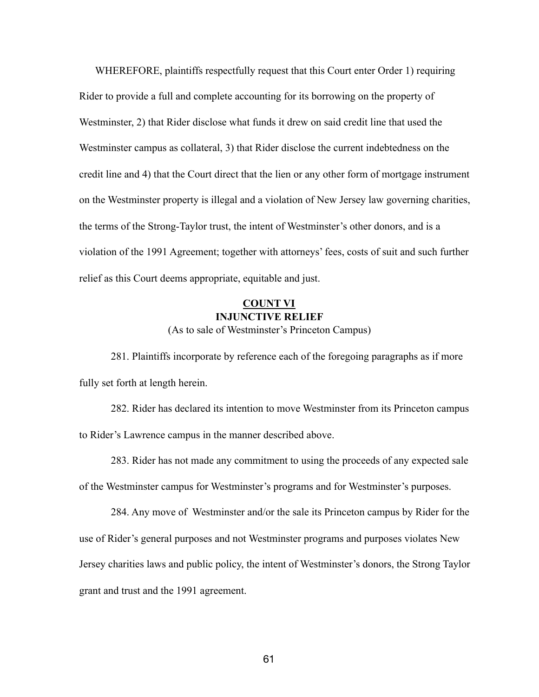WHEREFORE, plaintiffs respectfully request that this Court enter Order 1) requiring Rider to provide a full and complete accounting for its borrowing on the property of Westminster, 2) that Rider disclose what funds it drew on said credit line that used the Westminster campus as collateral, 3) that Rider disclose the current indebtedness on the credit line and 4) that the Court direct that the lien or any other form of mortgage instrument on the Westminster property is illegal and a violation of New Jersey law governing charities, the terms of the Strong-Taylor trust, the intent of Westminster's other donors, and is a violation of the 1991 Agreement; together with attorneys' fees, costs of suit and such further relief as this Court deems appropriate, equitable and just.

# **COUNT VI INJUNCTIVE RELIEF**

(As to sale of Westminster's Princeton Campus)

281. Plaintiffs incorporate by reference each of the foregoing paragraphs as if more fully set forth at length herein.

282. Rider has declared its intention to move Westminster from its Princeton campus to Rider's Lawrence campus in the manner described above.

283. Rider has not made any commitment to using the proceeds of any expected sale of the Westminster campus for Westminster's programs and for Westminster's purposes.

284. Any move of Westminster and/or the sale its Princeton campus by Rider for the use of Rider's general purposes and not Westminster programs and purposes violates New Jersey charities laws and public policy, the intent of Westminster's donors, the Strong Taylor grant and trust and the 1991 agreement.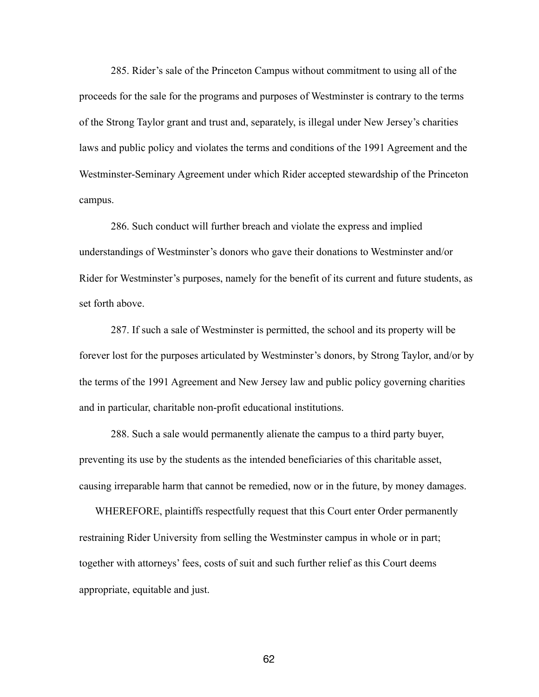285. Rider's sale of the Princeton Campus without commitment to using all of the proceeds for the sale for the programs and purposes of Westminster is contrary to the terms of the Strong Taylor grant and trust and, separately, is illegal under New Jersey's charities laws and public policy and violates the terms and conditions of the 1991 Agreement and the Westminster-Seminary Agreement under which Rider accepted stewardship of the Princeton campus.

286. Such conduct will further breach and violate the express and implied understandings of Westminster's donors who gave their donations to Westminster and/or Rider for Westminster's purposes, namely for the benefit of its current and future students, as set forth above.

287. If such a sale of Westminster is permitted, the school and its property will be forever lost for the purposes articulated by Westminster's donors, by Strong Taylor, and/or by the terms of the 1991 Agreement and New Jersey law and public policy governing charities and in particular, charitable non-profit educational institutions.

288. Such a sale would permanently alienate the campus to a third party buyer, preventing its use by the students as the intended beneficiaries of this charitable asset, causing irreparable harm that cannot be remedied, now or in the future, by money damages.

WHEREFORE, plaintiffs respectfully request that this Court enter Order permanently restraining Rider University from selling the Westminster campus in whole or in part; together with attorneys' fees, costs of suit and such further relief as this Court deems appropriate, equitable and just.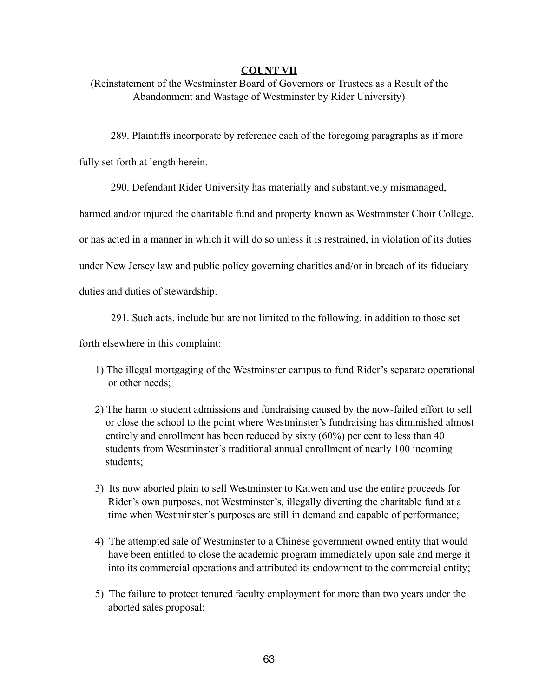# **COUNT VII**

(Reinstatement of the Westminster Board of Governors or Trustees as a Result of the Abandonment and Wastage of Westminster by Rider University)

289. Plaintiffs incorporate by reference each of the foregoing paragraphs as if more

fully set forth at length herein.

290. Defendant Rider University has materially and substantively mismanaged,

harmed and/or injured the charitable fund and property known as Westminster Choir College,

or has acted in a manner in which it will do so unless it is restrained, in violation of its duties

under New Jersey law and public policy governing charities and/or in breach of its fiduciary

duties and duties of stewardship.

291. Such acts, include but are not limited to the following, in addition to those set

forth elsewhere in this complaint:

- 1) The illegal mortgaging of the Westminster campus to fund Rider's separate operational or other needs;
- 2) The harm to student admissions and fundraising caused by the now-failed effort to sell or close the school to the point where Westminster's fundraising has diminished almost entirely and enrollment has been reduced by sixty (60%) per cent to less than 40 students from Westminster's traditional annual enrollment of nearly 100 incoming students;
- 3) Its now aborted plain to sell Westminster to Kaiwen and use the entire proceeds for Rider's own purposes, not Westminster's, illegally diverting the charitable fund at a time when Westminster's purposes are still in demand and capable of performance;
- 4) The attempted sale of Westminster to a Chinese government owned entity that would have been entitled to close the academic program immediately upon sale and merge it into its commercial operations and attributed its endowment to the commercial entity;
- 5) The failure to protect tenured faculty employment for more than two years under the aborted sales proposal;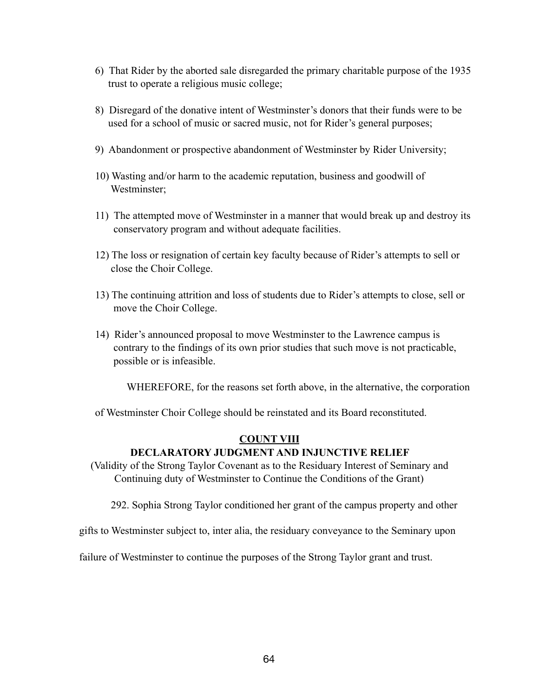- 6) That Rider by the aborted sale disregarded the primary charitable purpose of the 1935 trust to operate a religious music college;
- 8) Disregard of the donative intent of Westminster's donors that their funds were to be used for a school of music or sacred music, not for Rider's general purposes;
- 9) Abandonment or prospective abandonment of Westminster by Rider University;
- 10) Wasting and/or harm to the academic reputation, business and goodwill of Westminster;
- 11) The attempted move of Westminster in a manner that would break up and destroy its conservatory program and without adequate facilities.
- 12) The loss or resignation of certain key faculty because of Rider's attempts to sell or close the Choir College.
- 13) The continuing attrition and loss of students due to Rider's attempts to close, sell or move the Choir College.
- 14) Rider's announced proposal to move Westminster to the Lawrence campus is contrary to the findings of its own prior studies that such move is not practicable, possible or is infeasible.

WHEREFORE, for the reasons set forth above, in the alternative, the corporation

of Westminster Choir College should be reinstated and its Board reconstituted.

# **COUNT VIII**

# **DECLARATORY JUDGMENT AND INJUNCTIVE RELIEF**

(Validity of the Strong Taylor Covenant as to the Residuary Interest of Seminary and Continuing duty of Westminster to Continue the Conditions of the Grant)

292. Sophia Strong Taylor conditioned her grant of the campus property and other

gifts to Westminster subject to, inter alia, the residuary conveyance to the Seminary upon

failure of Westminster to continue the purposes of the Strong Taylor grant and trust.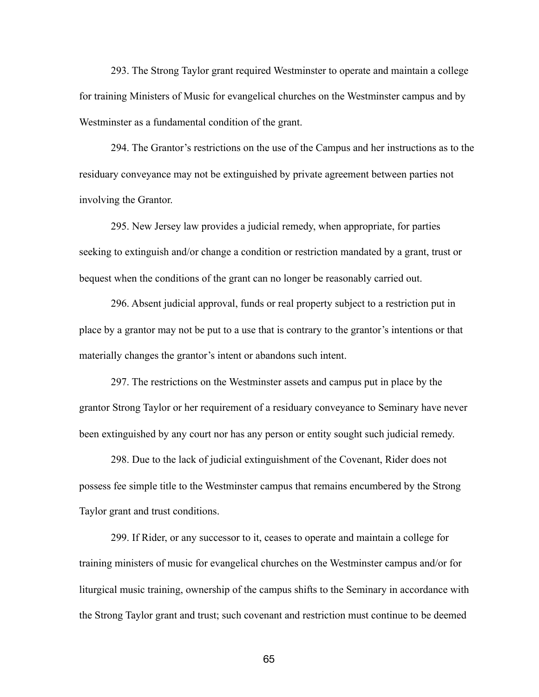293. The Strong Taylor grant required Westminster to operate and maintain a college for training Ministers of Music for evangelical churches on the Westminster campus and by Westminster as a fundamental condition of the grant.

294. The Grantor's restrictions on the use of the Campus and her instructions as to the residuary conveyance may not be extinguished by private agreement between parties not involving the Grantor.

295. New Jersey law provides a judicial remedy, when appropriate, for parties seeking to extinguish and/or change a condition or restriction mandated by a grant, trust or bequest when the conditions of the grant can no longer be reasonably carried out.

296. Absent judicial approval, funds or real property subject to a restriction put in place by a grantor may not be put to a use that is contrary to the grantor's intentions or that materially changes the grantor's intent or abandons such intent.

297. The restrictions on the Westminster assets and campus put in place by the grantor Strong Taylor or her requirement of a residuary conveyance to Seminary have never been extinguished by any court nor has any person or entity sought such judicial remedy.

298. Due to the lack of judicial extinguishment of the Covenant, Rider does not possess fee simple title to the Westminster campus that remains encumbered by the Strong Taylor grant and trust conditions.

299. If Rider, or any successor to it, ceases to operate and maintain a college for training ministers of music for evangelical churches on the Westminster campus and/or for liturgical music training, ownership of the campus shifts to the Seminary in accordance with the Strong Taylor grant and trust; such covenant and restriction must continue to be deemed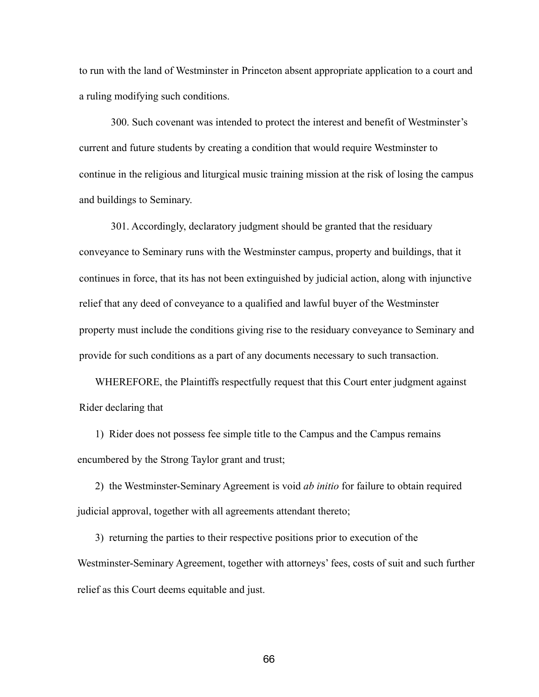to run with the land of Westminster in Princeton absent appropriate application to a court and a ruling modifying such conditions.

300. Such covenant was intended to protect the interest and benefit of Westminster's current and future students by creating a condition that would require Westminster to continue in the religious and liturgical music training mission at the risk of losing the campus and buildings to Seminary.

301. Accordingly, declaratory judgment should be granted that the residuary conveyance to Seminary runs with the Westminster campus, property and buildings, that it continues in force, that its has not been extinguished by judicial action, along with injunctive relief that any deed of conveyance to a qualified and lawful buyer of the Westminster property must include the conditions giving rise to the residuary conveyance to Seminary and provide for such conditions as a part of any documents necessary to such transaction.

WHEREFORE, the Plaintiffs respectfully request that this Court enter judgment against Rider declaring that

1) Rider does not possess fee simple title to the Campus and the Campus remains encumbered by the Strong Taylor grant and trust;

2) the Westminster-Seminary Agreement is void *ab initio* for failure to obtain required judicial approval, together with all agreements attendant thereto;

3) returning the parties to their respective positions prior to execution of the Westminster-Seminary Agreement, together with attorneys' fees, costs of suit and such further relief as this Court deems equitable and just.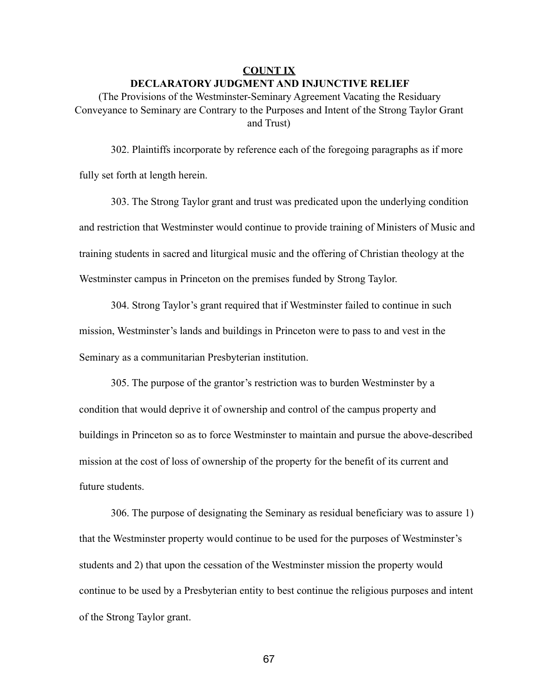#### **COUNT IX**

#### **DECLARATORY JUDGMENT AND INJUNCTIVE RELIEF**

(The Provisions of the Westminster-Seminary Agreement Vacating the Residuary Conveyance to Seminary are Contrary to the Purposes and Intent of the Strong Taylor Grant and Trust)

302. Plaintiffs incorporate by reference each of the foregoing paragraphs as if more fully set forth at length herein.

303. The Strong Taylor grant and trust was predicated upon the underlying condition and restriction that Westminster would continue to provide training of Ministers of Music and training students in sacred and liturgical music and the offering of Christian theology at the Westminster campus in Princeton on the premises funded by Strong Taylor.

304. Strong Taylor's grant required that if Westminster failed to continue in such mission, Westminster's lands and buildings in Princeton were to pass to and vest in the Seminary as a communitarian Presbyterian institution.

305. The purpose of the grantor's restriction was to burden Westminster by a condition that would deprive it of ownership and control of the campus property and buildings in Princeton so as to force Westminster to maintain and pursue the above-described mission at the cost of loss of ownership of the property for the benefit of its current and future students.

306. The purpose of designating the Seminary as residual beneficiary was to assure 1) that the Westminster property would continue to be used for the purposes of Westminster's students and 2) that upon the cessation of the Westminster mission the property would continue to be used by a Presbyterian entity to best continue the religious purposes and intent of the Strong Taylor grant.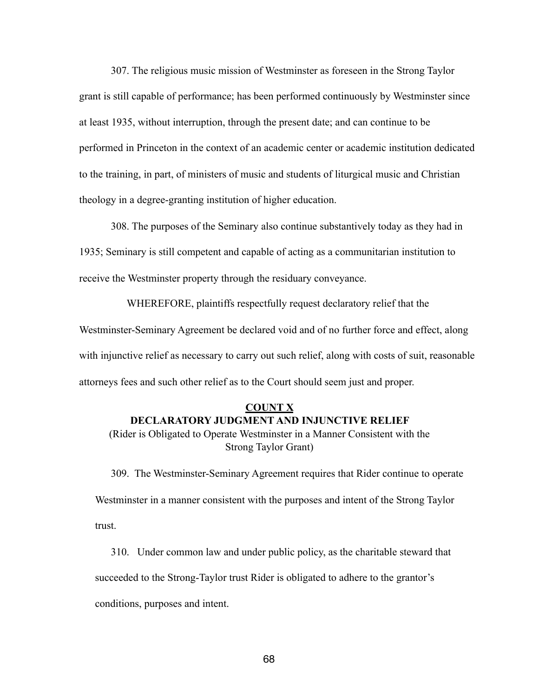307. The religious music mission of Westminster as foreseen in the Strong Taylor grant is still capable of performance; has been performed continuously by Westminster since at least 1935, without interruption, through the present date; and can continue to be performed in Princeton in the context of an academic center or academic institution dedicated to the training, in part, of ministers of music and students of liturgical music and Christian theology in a degree-granting institution of higher education.

308. The purposes of the Seminary also continue substantively today as they had in 1935; Seminary is still competent and capable of acting as a communitarian institution to receive the Westminster property through the residuary conveyance.

WHEREFORE, plaintiffs respectfully request declaratory relief that the

Westminster-Seminary Agreement be declared void and of no further force and effect, along with injunctive relief as necessary to carry out such relief, along with costs of suit, reasonable attorneys fees and such other relief as to the Court should seem just and proper.

### **COUNT X DECLARATORY JUDGMENT AND INJUNCTIVE RELIEF**

(Rider is Obligated to Operate Westminster in a Manner Consistent with the Strong Taylor Grant)

309. The Westminster-Seminary Agreement requires that Rider continue to operate Westminster in a manner consistent with the purposes and intent of the Strong Taylor trust.

310. Under common law and under public policy, as the charitable steward that succeeded to the Strong-Taylor trust Rider is obligated to adhere to the grantor's conditions, purposes and intent.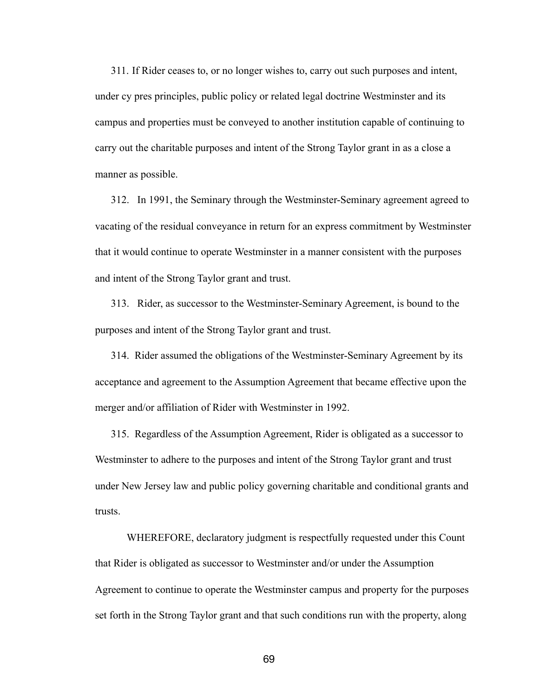311. If Rider ceases to, or no longer wishes to, carry out such purposes and intent, under cy pres principles, public policy or related legal doctrine Westminster and its campus and properties must be conveyed to another institution capable of continuing to carry out the charitable purposes and intent of the Strong Taylor grant in as a close a manner as possible.

312. In 1991, the Seminary through the Westminster-Seminary agreement agreed to vacating of the residual conveyance in return for an express commitment by Westminster that it would continue to operate Westminster in a manner consistent with the purposes and intent of the Strong Taylor grant and trust.

313. Rider, as successor to the Westminster-Seminary Agreement, is bound to the purposes and intent of the Strong Taylor grant and trust.

314. Rider assumed the obligations of the Westminster-Seminary Agreement by its acceptance and agreement to the Assumption Agreement that became effective upon the merger and/or affiliation of Rider with Westminster in 1992.

315. Regardless of the Assumption Agreement, Rider is obligated as a successor to Westminster to adhere to the purposes and intent of the Strong Taylor grant and trust under New Jersey law and public policy governing charitable and conditional grants and trusts.

 WHEREFORE, declaratory judgment is respectfully requested under this Count that Rider is obligated as successor to Westminster and/or under the Assumption Agreement to continue to operate the Westminster campus and property for the purposes set forth in the Strong Taylor grant and that such conditions run with the property, along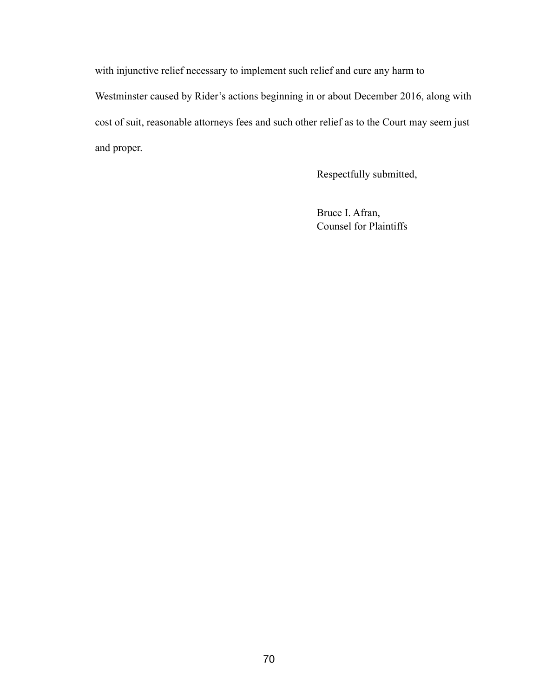with injunctive relief necessary to implement such relief and cure any harm to Westminster caused by Rider's actions beginning in or about December 2016, along with cost of suit, reasonable attorneys fees and such other relief as to the Court may seem just and proper.

Respectfully submitted,

 Bruce I. Afran, Counsel for Plaintiffs